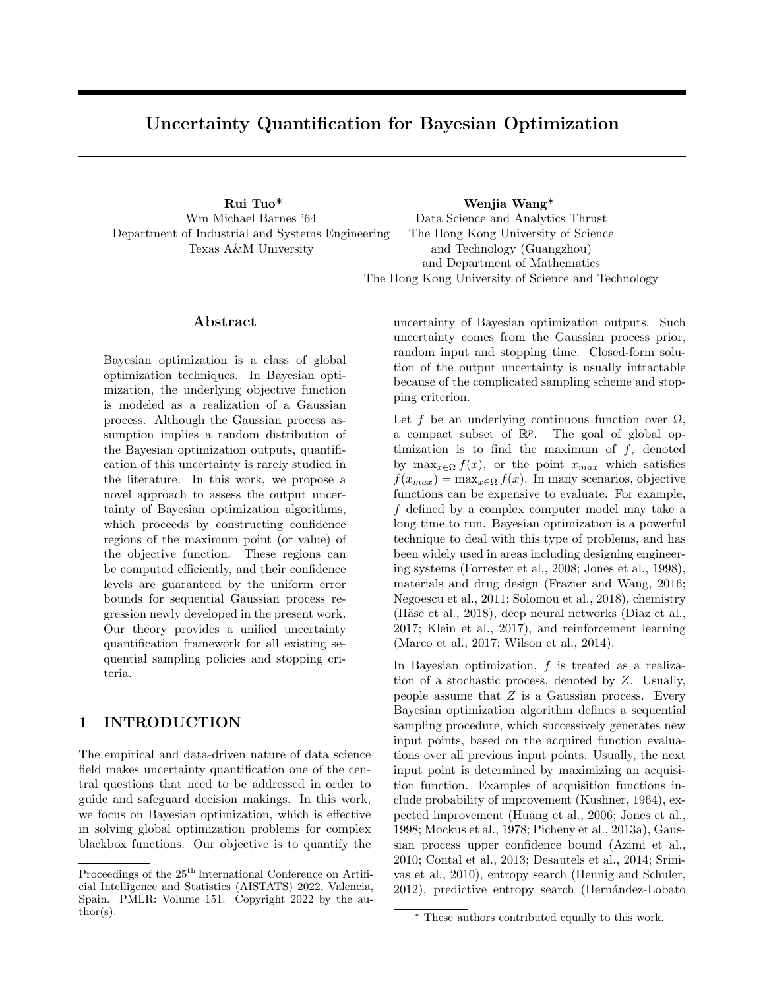# Uncertainty Quantification for Bayesian Optimization

Wm Michael Barnes '64 Department of Industrial and Systems Engineering Texas A&M University

Rui Tuo\* Wenjia Wang\* Data Science and Analytics Thrust The Hong Kong University of Science and Technology (Guangzhou) and Department of Mathematics The Hong Kong University of Science and Technology

### Abstract

Bayesian optimization is a class of global optimization techniques. In Bayesian optimization, the underlying objective function is modeled as a realization of a Gaussian process. Although the Gaussian process assumption implies a random distribution of the Bayesian optimization outputs, quantification of this uncertainty is rarely studied in the literature. In this work, we propose a novel approach to assess the output uncertainty of Bayesian optimization algorithms, which proceeds by constructing confidence regions of the maximum point (or value) of the objective function. These regions can be computed efficiently, and their confidence levels are guaranteed by the uniform error bounds for sequential Gaussian process regression newly developed in the present work. Our theory provides a unified uncertainty quantification framework for all existing sequential sampling policies and stopping criteria.

## 1 INTRODUCTION

The empirical and data-driven nature of data science field makes uncertainty quantification one of the central questions that need to be addressed in order to guide and safeguard decision makings. In this work, we focus on Bayesian optimization, which is effective in solving global optimization problems for complex blackbox functions. Our objective is to quantify the uncertainty of Bayesian optimization outputs. Such uncertainty comes from the Gaussian process prior, random input and stopping time. Closed-form solution of the output uncertainty is usually intractable because of the complicated sampling scheme and stopping criterion.

Let f be an underlying continuous function over  $\Omega$ , a compact subset of  $\mathbb{R}^p$ . The goal of global optimization is to find the maximum of  $f$ , denoted by  $\max_{x \in \Omega} f(x)$ , or the point  $x_{max}$  which satisfies  $f(x_{max}) = \max_{x \in \Omega} f(x)$ . In many scenarios, objective functions can be expensive to evaluate. For example, f defined by a complex computer model may take a long time to run. Bayesian optimization is a powerful technique to deal with this type of problems, and has been widely used in areas including designing engineering systems (Forrester et al., 2008; Jones et al., 1998), materials and drug design (Frazier and Wang, 2016; Negoescu et al., 2011; Solomou et al., 2018), chemistry (Häse et al., 2018), deep neural networks (Diaz et al., 2017; Klein et al., 2017), and reinforcement learning (Marco et al., 2017; Wilson et al., 2014).

In Bayesian optimization,  $f$  is treated as a realization of a stochastic process, denoted by Z. Usually, people assume that  $Z$  is a Gaussian process. Every Bayesian optimization algorithm defines a sequential sampling procedure, which successively generates new input points, based on the acquired function evaluations over all previous input points. Usually, the next input point is determined by maximizing an acquisition function. Examples of acquisition functions include probability of improvement (Kushner, 1964), expected improvement (Huang et al., 2006; Jones et al., 1998; Mockus et al., 1978; Picheny et al., 2013a), Gaussian process upper confidence bound (Azimi et al., 2010; Contal et al., 2013; Desautels et al., 2014; Srinivas et al., 2010), entropy search (Hennig and Schuler, 2012), predictive entropy search (Hernández-Lobato

Proceedings of the  $25^{\text{th}}$  International Conference on Artificial Intelligence and Statistics (AISTATS) 2022, Valencia, Spain. PMLR: Volume 151. Copyright 2022 by the au- $\text{thor}(s)$ .

<sup>\*</sup> These authors contributed equally to this work.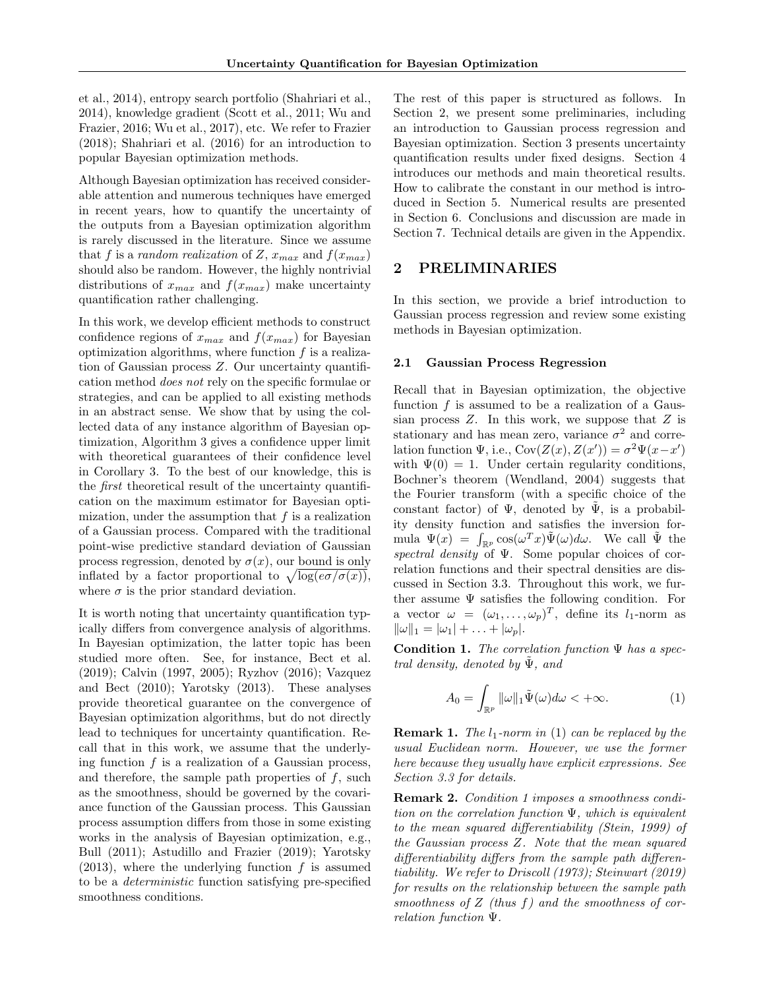et al., 2014), entropy search portfolio (Shahriari et al., 2014), knowledge gradient (Scott et al., 2011; Wu and Frazier, 2016; Wu et al., 2017), etc. We refer to Frazier (2018); Shahriari et al. (2016) for an introduction to popular Bayesian optimization methods.

Although Bayesian optimization has received considerable attention and numerous techniques have emerged in recent years, how to quantify the uncertainty of the outputs from a Bayesian optimization algorithm is rarely discussed in the literature. Since we assume that f is a random realization of Z,  $x_{max}$  and  $f(x_{max})$ should also be random. However, the highly nontrivial distributions of  $x_{max}$  and  $f(x_{max})$  make uncertainty quantification rather challenging.

In this work, we develop efficient methods to construct confidence regions of  $x_{max}$  and  $f(x_{max})$  for Bayesian optimization algorithms, where function  $f$  is a realization of Gaussian process Z. Our uncertainty quantification method does not rely on the specific formulae or strategies, and can be applied to all existing methods in an abstract sense. We show that by using the collected data of any instance algorithm of Bayesian optimization, Algorithm 3 gives a confidence upper limit with theoretical guarantees of their confidence level in Corollary 3. To the best of our knowledge, this is the first theoretical result of the uncertainty quantification on the maximum estimator for Bayesian optimization, under the assumption that  $f$  is a realization of a Gaussian process. Compared with the traditional point-wise predictive standard deviation of Gaussian process regression, denoted by  $\sigma(x)$ , our bound is only inflated by a factor proportional to  $\sqrt{\log(e\sigma/\sigma(x))}$ , where  $\sigma$  is the prior standard deviation.

It is worth noting that uncertainty quantification typically differs from convergence analysis of algorithms. In Bayesian optimization, the latter topic has been studied more often. See, for instance, Bect et al. (2019); Calvin (1997, 2005); Ryzhov (2016); Vazquez and Bect (2010); Yarotsky (2013). These analyses provide theoretical guarantee on the convergence of Bayesian optimization algorithms, but do not directly lead to techniques for uncertainty quantification. Recall that in this work, we assume that the underlying function  $f$  is a realization of a Gaussian process, and therefore, the sample path properties of  $f$ , such as the smoothness, should be governed by the covariance function of the Gaussian process. This Gaussian process assumption differs from those in some existing works in the analysis of Bayesian optimization, e.g., Bull (2011); Astudillo and Frazier (2019); Yarotsky  $(2013)$ , where the underlying function f is assumed to be a deterministic function satisfying pre-specified smoothness conditions.

The rest of this paper is structured as follows. In Section 2, we present some preliminaries, including an introduction to Gaussian process regression and Bayesian optimization. Section 3 presents uncertainty quantification results under fixed designs. Section 4 introduces our methods and main theoretical results. How to calibrate the constant in our method is introduced in Section 5. Numerical results are presented in Section 6. Conclusions and discussion are made in Section 7. Technical details are given in the Appendix.

### 2 PRELIMINARIES

In this section, we provide a brief introduction to Gaussian process regression and review some existing methods in Bayesian optimization.

#### 2.1 Gaussian Process Regression

Recall that in Bayesian optimization, the objective function  $f$  is assumed to be a realization of a Gaussian process  $Z$ . In this work, we suppose that  $Z$  is stationary and has mean zero, variance  $\sigma^2$  and correlation function  $\Psi$ , i.e.,  $Cov(Z(x), Z(x')) = \sigma^2 \Psi(x-x')$ with  $\Psi(0) = 1$ . Under certain regularity conditions, Bochner's theorem (Wendland, 2004) suggests that the Fourier transform (with a specific choice of the constant factor) of  $\Psi$ , denoted by  $\Psi$ , is a probability density function and satisfies the inversion formula  $\Psi(x) = \int_{\mathbb{R}^p} \cos(\omega^T x) \tilde{\Psi}(\omega) d\omega$ . We call  $\tilde{\Psi}$  the spectral density of  $\Psi$ . Some popular choices of correlation functions and their spectral densities are discussed in Section 3.3. Throughout this work, we further assume  $\Psi$  satisfies the following condition. For a vector  $\omega = (\omega_1, \ldots, \omega_p)^T$ , define its  $l_1$ -norm as  $\|\omega\|_1 = |\omega_1| + \ldots + |\omega_p|.$ 

**Condition 1.** The correlation function  $\Psi$  has a spectral density, denoted by  $\Psi$ , and

$$
A_0 = \int_{\mathbb{R}^p} \|\omega\|_1 \tilde{\Psi}(\omega) d\omega < +\infty.
$$
 (1)

**Remark 1.** The  $l_1$ -norm in (1) can be replaced by the usual Euclidean norm. However, we use the former here because they usually have explicit expressions. See Section 3.3 for details.

Remark 2. Condition 1 imposes a smoothness condition on the correlation function  $\Psi$ , which is equivalent to the mean squared differentiability (Stein, 1999) of the Gaussian process Z. Note that the mean squared differentiability differs from the sample path differentiability. We refer to Driscoll (1973); Steinwart (2019) for results on the relationship between the sample path smoothness of  $Z$  (thus f) and the smoothness of correlation function Ψ.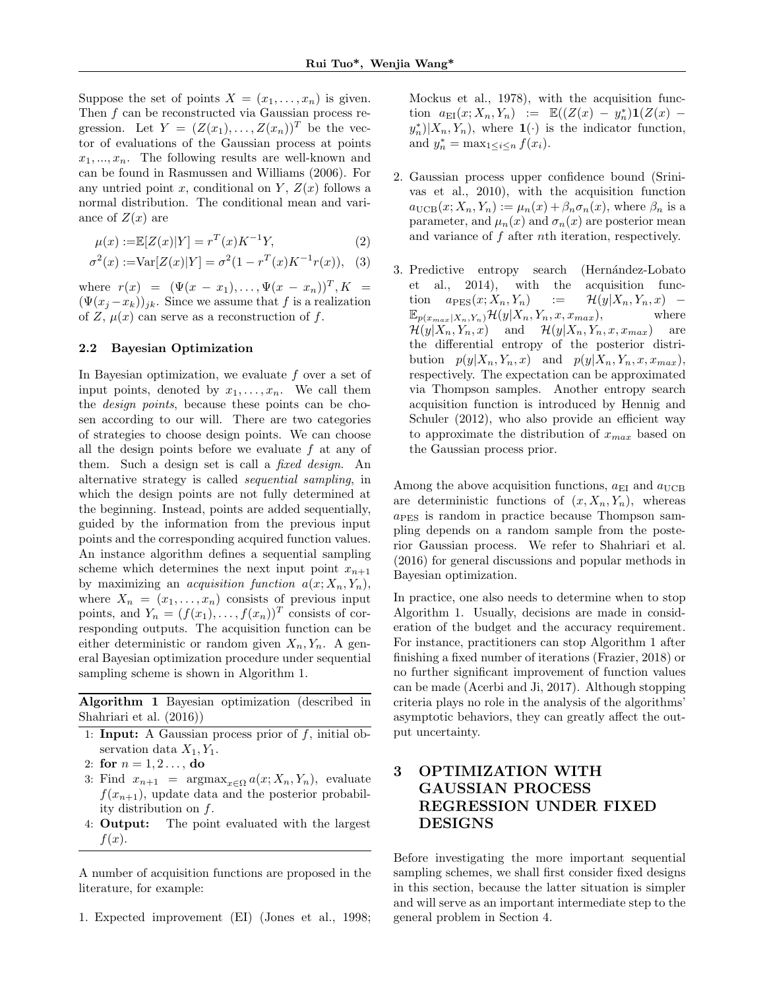Suppose the set of points  $X = (x_1, \ldots, x_n)$  is given. Then  $f$  can be reconstructed via Gaussian process regression. Let  $Y = (Z(x_1), \ldots, Z(x_n))^T$  be the vector of evaluations of the Gaussian process at points  $x_1, \ldots, x_n$ . The following results are well-known and can be found in Rasmussen and Williams (2006). For any untried point x, conditional on Y,  $Z(x)$  follows a normal distribution. The conditional mean and variance of  $Z(x)$  are

$$
\mu(x) := \mathbb{E}[Z(x)|Y] = r^T(x)K^{-1}Y,
$$
\n(2)

$$
\sigma^{2}(x) := \text{Var}[Z(x)|Y] = \sigma^{2}(1 - r^{T}(x)K^{-1}r(x)), \quad (3)
$$

where  $r(x) = (\Psi(x - x_1), \dots, \Psi(x - x_n))^T, K =$  $(\Psi(x_i - x_k))_{ik}$ . Since we assume that f is a realization of Z,  $\mu(x)$  can serve as a reconstruction of f.

### 2.2 Bayesian Optimization

In Bayesian optimization, we evaluate  $f$  over a set of input points, denoted by  $x_1, \ldots, x_n$ . We call them the design points, because these points can be chosen according to our will. There are two categories of strategies to choose design points. We can choose all the design points before we evaluate  $f$  at any of them. Such a design set is call a *fixed design*. An alternative strategy is called sequential sampling, in which the design points are not fully determined at the beginning. Instead, points are added sequentially, guided by the information from the previous input points and the corresponding acquired function values. An instance algorithm defines a sequential sampling scheme which determines the next input point  $x_{n+1}$ by maximizing an *acquisition function*  $a(x; X_n, Y_n)$ , where  $X_n = (x_1, \ldots, x_n)$  consists of previous input points, and  $Y_n = (f(x_1), \ldots, f(x_n))^T$  consists of corresponding outputs. The acquisition function can be either deterministic or random given  $X_n, Y_n$ . A general Bayesian optimization procedure under sequential sampling scheme is shown in Algorithm 1.

Algorithm 1 Bayesian optimization (described in Shahriari et al. (2016))

- 1: Input: A Gaussian process prior of  $f$ , initial observation data  $X_1, Y_1$ .
- 2: for  $n = 1, 2, \ldots$ , do
- 3: Find  $x_{n+1}$  =  $\arg \max_{x \in \Omega} a(x; X_n, Y_n)$ , evaluate  $f(x_{n+1})$ , update data and the posterior probability distribution on f.
- 4: Output: The point evaluated with the largest  $f(x)$ .

A number of acquisition functions are proposed in the literature, for example:

1. Expected improvement (EI) (Jones et al., 1998;

Mockus et al., 1978), with the acquisition function  $a_{\text{EI}}(x; X_n, Y_n) := \mathbb{E}((Z(x) - y_n^*)\mathbf{1}(Z(x) - y_n^*))$  $(y_n^*)|X_n, Y_n$ , where  $\mathbf{1}(\cdot)$  is the indicator function, and  $y_n^* = \max_{1 \leq i \leq n} f(x_i)$ .

- 2. Gaussian process upper confidence bound (Srinivas et al., 2010), with the acquisition function  $a_{\text{UCB}}(x; X_n, Y_n) := \mu_n(x) + \beta_n \sigma_n(x)$ , where  $\beta_n$  is a parameter, and  $\mu_n(x)$  and  $\sigma_n(x)$  are posterior mean and variance of f after nth iteration, respectively.
- 3. Predictive entropy search (Hernández-Lobato et al., 2014), with the acquisition function  $a_{\text{PES}}(x; X_n, Y_n)$  :=  $\mathcal{H}(y|X_n, Y_n, x)$  –  $\mathbb{E}_{p(x_{max}|X_n,Y_n)}\mathcal{H}(y|X_n,Y_n,x,x_{max}),$  where  $\mathcal{H}(y|X_n, Y_n, x)$  and  $\mathcal{H}(y|X_n, Y_n, x, x_{max})$  are the differential entropy of the posterior distribution  $p(y|X_n, Y_n, x)$  and  $p(y|X_n, Y_n, x, x_{max})$ , respectively. The expectation can be approximated via Thompson samples. Another entropy search acquisition function is introduced by Hennig and Schuler (2012), who also provide an efficient way to approximate the distribution of  $x_{max}$  based on the Gaussian process prior.

Among the above acquisition functions,  $a_{\text{EI}}$  and  $a_{\text{UCB}}$ are deterministic functions of  $(x, X_n, Y_n)$ , whereas  $a<sub>PES</sub>$  is random in practice because Thompson sampling depends on a random sample from the posterior Gaussian process. We refer to Shahriari et al. (2016) for general discussions and popular methods in Bayesian optimization.

In practice, one also needs to determine when to stop Algorithm 1. Usually, decisions are made in consideration of the budget and the accuracy requirement. For instance, practitioners can stop Algorithm 1 after finishing a fixed number of iterations (Frazier, 2018) or no further significant improvement of function values can be made (Acerbi and Ji, 2017). Although stopping criteria plays no role in the analysis of the algorithms' asymptotic behaviors, they can greatly affect the output uncertainty.

# 3 OPTIMIZATION WITH GAUSSIAN PROCESS REGRESSION UNDER FIXED DESIGNS

Before investigating the more important sequential sampling schemes, we shall first consider fixed designs in this section, because the latter situation is simpler and will serve as an important intermediate step to the general problem in Section 4.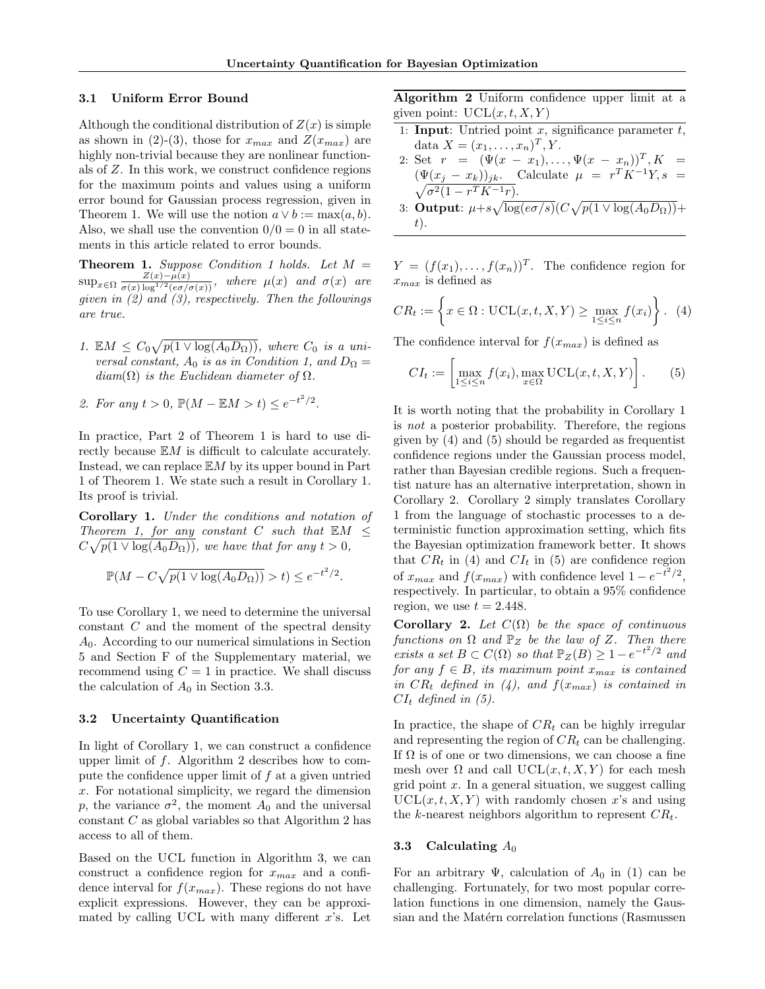#### 3.1 Uniform Error Bound

Although the conditional distribution of  $Z(x)$  is simple as shown in (2)-(3), those for  $x_{max}$  and  $Z(x_{max})$  are highly non-trivial because they are nonlinear functionals of Z. In this work, we construct confidence regions for the maximum points and values using a uniform error bound for Gaussian process regression, given in Theorem 1. We will use the notion  $a \vee b := \max(a, b)$ . Also, we shall use the convention  $0/0 = 0$  in all statements in this article related to error bounds.

**Theorem 1.** Suppose Condition 1 holds. Let  $M =$  $\sup_{x \in \Omega} \frac{Z(x)-\mu(x)}{\sigma(x)\log^{1/2}(e\sigma/\sigma(x))}$ , where  $\mu(x)$  and  $\sigma(x)$  are given in  $(2)$  and  $(3)$ , respectively. Then the followings are true.

- 1.  $\mathbb{E}M \leq C_0\sqrt{p(1 \vee \log(A_0 D_{\Omega}))}$ , where  $C_0$  is a universal constant,  $A_0$  is as in Condition 1, and  $D_{\Omega} =$  $diam(\Omega)$  is the Euclidean diameter of  $\Omega$ .
- 2. For any  $t > 0$ ,  $\mathbb{P}(M \mathbb{E}M > t) \le e^{-t^2/2}$ .

In practice, Part 2 of Theorem 1 is hard to use directly because EM is difficult to calculate accurately. Instead, we can replace  $EM$  by its upper bound in Part 1 of Theorem 1. We state such a result in Corollary 1. Its proof is trivial.

Corollary 1. Under the conditions and notation of Theorem 1, for any constant C such that  $EM \n\leq$  $C\sqrt{p(1 \vee \log(A_0 D_{\Omega}))}$ , we have that for any  $t > 0$ ,

$$
\mathbb{P}(M - C\sqrt{p(1 \vee \log(A_0 D_\Omega))} > t) \le e^{-t^2/2}.
$$

To use Corollary 1, we need to determine the universal constant C and the moment of the spectral density  $A_0$ . According to our numerical simulations in Section 5 and Section F of the Supplementary material, we recommend using  $C = 1$  in practice. We shall discuss the calculation of  $A_0$  in Section 3.3.

#### 3.2 Uncertainty Quantification

In light of Corollary 1, we can construct a confidence upper limit of  $f$ . Algorithm 2 describes how to compute the confidence upper limit of  $f$  at a given untried x. For notational simplicity, we regard the dimension p, the variance  $\sigma^2$ , the moment  $A_0$  and the universal constant C as global variables so that Algorithm 2 has access to all of them.

Based on the UCL function in Algorithm 3, we can construct a confidence region for  $x_{max}$  and a confidence interval for  $f(x_{max})$ . These regions do not have explicit expressions. However, they can be approximated by calling UCL with many different  $x$ 's. Let Algorithm 2 Uniform confidence upper limit at a given point:  $UCL(x, t, X, Y)$ 

- 1: Input: Untried point x, significance parameter  $t$ , data  $X = (x_1, ..., x_n)^T, Y$ .
- 2: Set  $r = (\Psi(x x_1), \dots, \Psi(x x_n))^T, K =$  $(\Psi(x_j - x_k))_{jk}$ . Calculate  $\mu = r^T K^{-1}$  $\sqrt{ }$  $Y, s =$  $\sigma^2(1 - r^T K^{-1}r).$
- 3: Output:  $\mu+s\sqrt{\log(e\sigma/s)}(C\sqrt{p(1\vee \log(A_0D_\Omega))}+$ t).

 $Y = (f(x_1), \ldots, f(x_n))^T$ . The confidence region for  $x_{max}$  is defined as

$$
CR_t := \left\{ x \in \Omega : \text{UCL}(x, t, X, Y) \ge \max_{1 \le i \le n} f(x_i) \right\}. \tag{4}
$$

The confidence interval for  $f(x_{max})$  is defined as

$$
CI_t := \left[\max_{1 \le i \le n} f(x_i), \max_{x \in \Omega} \text{UCL}(x, t, X, Y)\right].
$$
 (5)

It is worth noting that the probability in Corollary 1 is not a posterior probability. Therefore, the regions given by (4) and (5) should be regarded as frequentist confidence regions under the Gaussian process model, rather than Bayesian credible regions. Such a frequentist nature has an alternative interpretation, shown in Corollary 2. Corollary 2 simply translates Corollary 1 from the language of stochastic processes to a deterministic function approximation setting, which fits the Bayesian optimization framework better. It shows that  $CR_t$  in (4) and  $CI_t$  in (5) are confidence region of  $x_{max}$  and  $f(x_{max})$  with confidence level  $1 - e^{-t^2/2}$ , respectively. In particular, to obtain a 95% confidence region, we use  $t = 2.448$ .

Corollary 2. Let  $C(\Omega)$  be the space of continuous functions on  $\Omega$  and  $\mathbb{P}_Z$  be the law of Z. Then there exists a set  $B \subset C(\Omega)$  so that  $\mathbb{P}_Z(B) \geq 1 - e^{-t^2/2}$  and for any  $f \in B$ , its maximum point  $x_{max}$  is contained in  $CR_t$  defined in (4), and  $f(x_{max})$  is contained in  $CI_t$  defined in (5).

In practice, the shape of  $CR_t$  can be highly irregular and representing the region of  $CR_t$  can be challenging. If  $\Omega$  is of one or two dimensions, we can choose a fine mesh over  $\Omega$  and call UCL $(x, t, X, Y)$  for each mesh grid point  $x$ . In a general situation, we suggest calling  $\text{UCL}(x, t, X, Y)$  with randomly chosen x's and using the k-nearest neighbors algorithm to represent  $CR_t$ .

#### 3.3 Calculating  $A_0$

For an arbitrary  $\Psi$ , calculation of  $A_0$  in (1) can be challenging. Fortunately, for two most popular correlation functions in one dimension, namely the Gaussian and the Matérn correlation functions (Rasmussen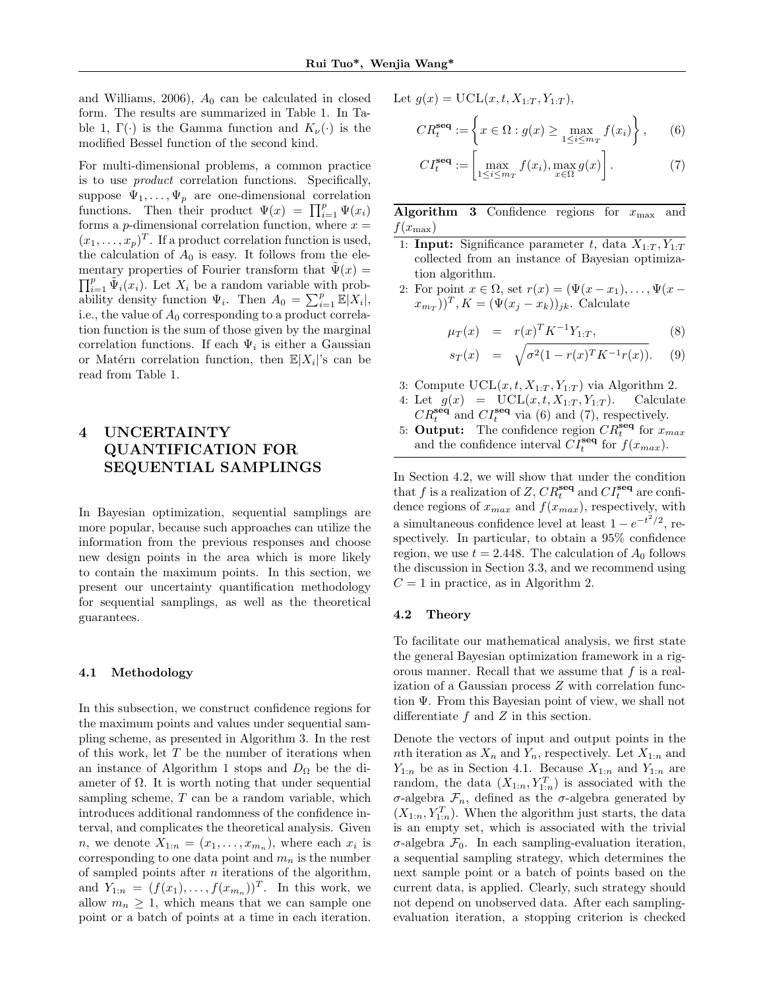and Williams, 2006),  $A_0$  can be calculated in closed form. The results are summarized in Table 1. In Table 1,  $\Gamma(\cdot)$  is the Gamma function and  $K_{\nu}(\cdot)$  is the modified Bessel function of the second kind.

For multi-dimensional problems, a common practice is to use product correlation functions. Specifically, suppose  $\Psi_1, \ldots, \Psi_p$  are one-dimensional correlation functions. Then their product  $\Psi(x) = \prod_{i=1}^p \Psi(x_i)$ forms a  $p$ -dimensional correlation function, where  $x =$  $(x_1, \ldots, x_p)^T$ . If a product correlation function is used, the calculation of  $A_0$  is easy. It follows from the elementary properties of Fourier transform that  $\tilde{\Psi}(x) =$  $\prod_{i=1}^p \tilde{\Psi}_i(x_i)$ . Let  $X_i$  be a random variable with probability density function  $\Psi_i$ . Then  $A_0 = \sum_{i=1}^p \mathbb{E}|X_i|$ , i.e., the value of  $A_0$  corresponding to a product correlation function is the sum of those given by the marginal correlation functions. If each  $\Psi_i$  is either a Gaussian or Matérn correlation function, then  $\mathbb{E}|X_i|$ 's can be read from Table 1.

# 4 UNCERTAINTY QUANTIFICATION FOR SEQUENTIAL SAMPLINGS

In Bayesian optimization, sequential samplings are more popular, because such approaches can utilize the information from the previous responses and choose new design points in the area which is more likely to contain the maximum points. In this section, we present our uncertainty quantification methodology for sequential samplings, as well as the theoretical guarantees.

### 4.1 Methodology

In this subsection, we construct confidence regions for the maximum points and values under sequential sampling scheme, as presented in Algorithm 3. In the rest of this work, let  $T$  be the number of iterations when an instance of Algorithm 1 stops and  $D_{\Omega}$  be the diameter of  $\Omega$ . It is worth noting that under sequential sampling scheme,  $T$  can be a random variable, which introduces additional randomness of the confidence interval, and complicates the theoretical analysis. Given *n*, we denote  $X_{1:n} = (x_1, \ldots, x_{m_n})$ , where each  $x_i$  is corresponding to one data point and  $m_n$  is the number of sampled points after  $n$  iterations of the algorithm, and  $Y_{1:n} = (f(x_1), \ldots, f(x_{m_n}))^T$ . In this work, we allow  $m_n \geq 1$ , which means that we can sample one point or a batch of points at a time in each iteration.

Let 
$$
g(x) = \mathrm{UCL}(x, t, X_{1:T}, Y_{1:T}),
$$

$$
CR_t^{\text{seq}} := \left\{ x \in \Omega : g(x) \ge \max_{1 \le i \le m_T} f(x_i) \right\},\qquad(6)
$$

$$
CI_t^{\text{seq}} := \left[ \max_{1 \le i \le m_T} f(x_i), \max_{x \in \Omega} g(x) \right]. \tag{7}
$$

Algorithm 3 Confidence regions for  $x_{\text{max}}$  and  $f(x_{\text{max}})$ 

- 1: **Input:** Significance parameter t, data  $X_{1:T}, Y_{1:T}$ collected from an instance of Bayesian optimization algorithm.
- 2: For point  $x \in \Omega$ , set  $r(x) = (\Psi(x x_1), \ldots, \Psi(x x_n))$  $(x_{m_T})^T$ ,  $K = (\Psi(x_j - x_k))_{jk}$ . Calculate

$$
\mu_T(x) = r(x)^T K^{-1} Y_{1:T}, \qquad (8)
$$

$$
s_T(x) = \sqrt{\sigma^2 (1 - r(x)^T K^{-1} r(x))}.
$$
 (9)

- 3: Compute  $UCL(x, t, X_{1:T}, Y_{1:T})$  via Algorithm 2.
- 4: Let  $g(x) = \text{UCL}(x, t, X_{1:T}, Y_{1:T})$ . Calculate  $CR_t^{\text{seq}}$  and  $CI_t^{\text{seq}}$  via (6) and (7), respectively.
- 5: Output: The confidence region  $CR_t^{\text{seq}}$  for  $x_{max}$ and the confidence interval  $\tilde{CI}^{\text{seq}}_t$  for  $f(x_{max})$ .

In Section 4.2, we will show that under the condition that f is a realization of Z,  $CR_t^{\text{seq}}$  and  $CI_t^{\text{seq}}$  are confidence regions of  $x_{max}$  and  $f(x_{max})$ , respectively, with a simultaneous confidence level at least  $1 - e^{-t^2/2}$ , respectively. In particular, to obtain a 95% confidence region, we use  $t = 2.448$ . The calculation of  $A_0$  follows the discussion in Section 3.3, and we recommend using  $C = 1$  in practice, as in Algorithm 2.

#### 4.2 Theory

To facilitate our mathematical analysis, we first state the general Bayesian optimization framework in a rigorous manner. Recall that we assume that  $f$  is a realization of a Gaussian process Z with correlation function Ψ. From this Bayesian point of view, we shall not differentiate  $f$  and  $Z$  in this section.

Denote the vectors of input and output points in the nth iteration as  $X_n$  and  $Y_n$ , respectively. Let  $X_{1:n}$  and  $Y_{1:n}$  be as in Section 4.1. Because  $X_{1:n}$  and  $Y_{1:n}$  are random, the data  $(X_{1:n}, Y_{1:n}^T)$  is associated with the σ-algebra Fn, defined as the σ-algebra generated by  $(X_{1:n}, Y_{1:n}^T)$ . When the algorithm just starts, the data is an empty set, which is associated with the trivial σ-algebra F0. In each sampling-evaluation iteration, a sequential sampling strategy, which determines the next sample point or a batch of points based on the current data, is applied. Clearly, such strategy should not depend on unobserved data. After each samplingevaluation iteration, a stopping criterion is checked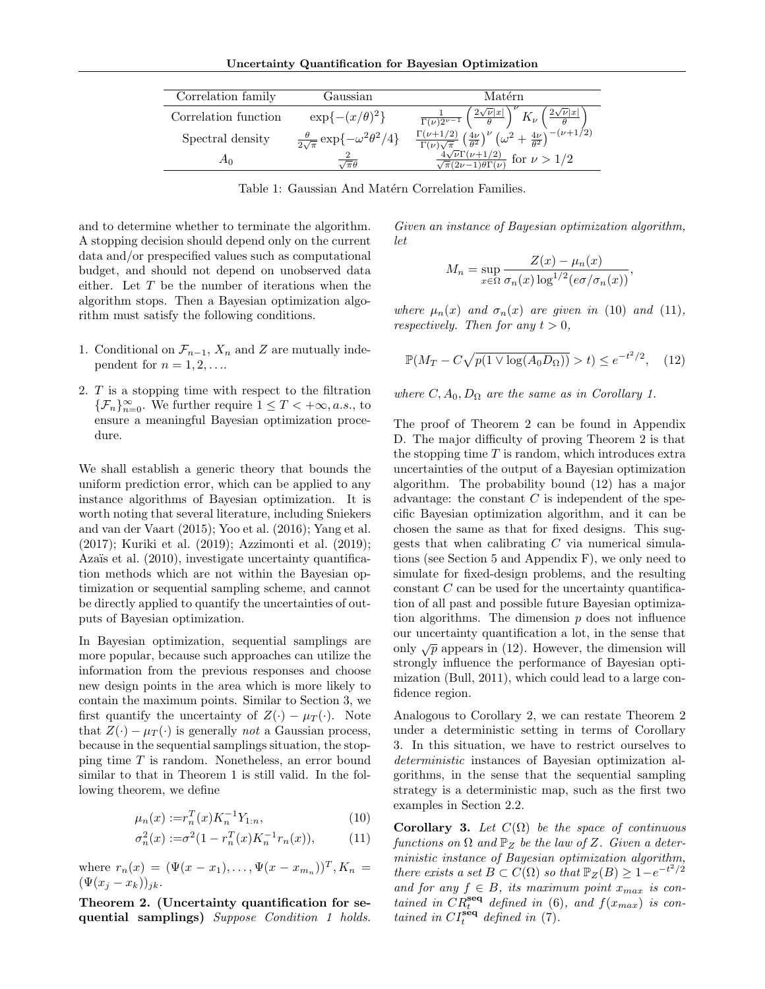Uncertainty Quantification for Bayesian Optimization

| Correlation family   | Gaussian                                                | Matérn                                                                                                                                                              |
|----------------------|---------------------------------------------------------|---------------------------------------------------------------------------------------------------------------------------------------------------------------------|
| Correlation function | $\exp\{-(x/\theta)^2\}$                                 | $\left(\frac{2\sqrt{\nu} x }{a}\right)$<br>$K_{\nu} \left( \frac{2\sqrt{\nu}  x }{a} \right)$<br>$\frac{1}{\Gamma(\nu)2^{\nu-1}}\left(\frac{2\sqrt{2}}{\nu}\right)$ |
| Spectral density     | $\frac{\theta}{2\sqrt{\pi}}\exp\{-\omega^2\theta^2/4\}$ | $\frac{\Gamma(\nu+1/2)}{\Gamma(\nu)\sqrt{\pi}}\left(\frac{4\nu}{\theta^2}\right)^{\nu}\left(\omega^2+\frac{4\nu}{\theta^2}\right)^{-(\nu+1/2)}$                     |
|                      |                                                         | $\frac{4\sqrt{\nu}\Gamma(\nu+1/2)}{\sqrt{\pi}(2\nu-1)\theta\Gamma(\nu)}$ for $\nu > 1/2$                                                                            |

Table 1: Gaussian And Matérn Correlation Families.

and to determine whether to terminate the algorithm. A stopping decision should depend only on the current data and/or prespecified values such as computational budget, and should not depend on unobserved data either. Let T be the number of iterations when the algorithm stops. Then a Bayesian optimization algorithm must satisfy the following conditions.

- 1. Conditional on  $\mathcal{F}_{n-1}$ ,  $X_n$  and Z are mutually independent for  $n = 1, 2, \ldots$
- 2. T is a stopping time with respect to the filtration { $\mathcal{F}_n$ }<sup>∞</sup><sub>n=0</sub>. We further require 1 ≤ T < +∞, *a.s.*, to ensure a meaningful Bayesian optimization procedure.

We shall establish a generic theory that bounds the uniform prediction error, which can be applied to any instance algorithms of Bayesian optimization. It is worth noting that several literature, including Sniekers and van der Vaart (2015); Yoo et al. (2016); Yang et al. (2017); Kuriki et al. (2019); Azzimonti et al. (2019); Azaïs et al. (2010), investigate uncertainty quantification methods which are not within the Bayesian optimization or sequential sampling scheme, and cannot be directly applied to quantify the uncertainties of outputs of Bayesian optimization.

In Bayesian optimization, sequential samplings are more popular, because such approaches can utilize the information from the previous responses and choose new design points in the area which is more likely to contain the maximum points. Similar to Section 3, we first quantify the uncertainty of  $Z(\cdot) - \mu_T(\cdot)$ . Note that  $Z(\cdot) - \mu_T(\cdot)$  is generally *not* a Gaussian process, because in the sequential samplings situation, the stopping time T is random. Nonetheless, an error bound similar to that in Theorem 1 is still valid. In the following theorem, we define

$$
\mu_n(x) := r_n^T(x) K_n^{-1} Y_{1:n},\tag{10}
$$

$$
\sigma_n^2(x) := \sigma^2 (1 - r_n^T(x) K_n^{-1} r_n(x)), \tag{11}
$$

where  $r_n(x) = (\Psi(x - x_1), \dots, \Psi(x - x_{m_n}))^T$ ,  $K_n =$  $(\Psi(x_j-x_k))_{jk}.$ 

Theorem 2. (Uncertainty quantification for sequential samplings) Suppose Condition 1 holds.

Given an instance of Bayesian optimization algorithm, let

$$
M_n = \sup_{x \in \Omega} \frac{Z(x) - \mu_n(x)}{\sigma_n(x) \log^{1/2} (e \sigma / \sigma_n(x))},
$$

where  $\mu_n(x)$  and  $\sigma_n(x)$  are given in (10) and (11), respectively. Then for any  $t > 0$ ,

$$
\mathbb{P}(M_T - C\sqrt{p(1 \vee \log(A_0 D_\Omega))} > t) \le e^{-t^2/2}, \quad (12)
$$

where  $C, A_0, D_\Omega$  are the same as in Corollary 1.

The proof of Theorem 2 can be found in Appendix D. The major difficulty of proving Theorem 2 is that the stopping time  $T$  is random, which introduces extra uncertainties of the output of a Bayesian optimization algorithm. The probability bound (12) has a major advantage: the constant  $C$  is independent of the specific Bayesian optimization algorithm, and it can be chosen the same as that for fixed designs. This suggests that when calibrating  $C$  via numerical simulations (see Section 5 and Appendix F), we only need to simulate for fixed-design problems, and the resulting constant C can be used for the uncertainty quantification of all past and possible future Bayesian optimization algorithms. The dimension  $p$  does not influence our uncertainty quantification a lot, in the sense that only  $\sqrt{p}$  appears in (12). However, the dimension will strongly influence the performance of Bayesian optimization (Bull, 2011), which could lead to a large confidence region.

Analogous to Corollary 2, we can restate Theorem 2 under a deterministic setting in terms of Corollary 3. In this situation, we have to restrict ourselves to deterministic instances of Bayesian optimization algorithms, in the sense that the sequential sampling strategy is a deterministic map, such as the first two examples in Section 2.2.

Corollary 3. Let  $C(\Omega)$  be the space of continuous functions on  $\Omega$  and  $\mathbb{P}_Z$  be the law of Z. Given a deterministic instance of Bayesian optimization algorithm, there exists a set  $B \subset C(\Omega)$  so that  $\mathbb{P}_Z(B) \geq 1 - e^{-t^2/2}$ and for any  $f \in B$ , its maximum point  $x_{max}$  is contained in  $CR_t^{\text{seq}}$  defined in (6), and  $f(x_{max})$  is contained in  $CI_t^{\text{seq}}$  defined in (7).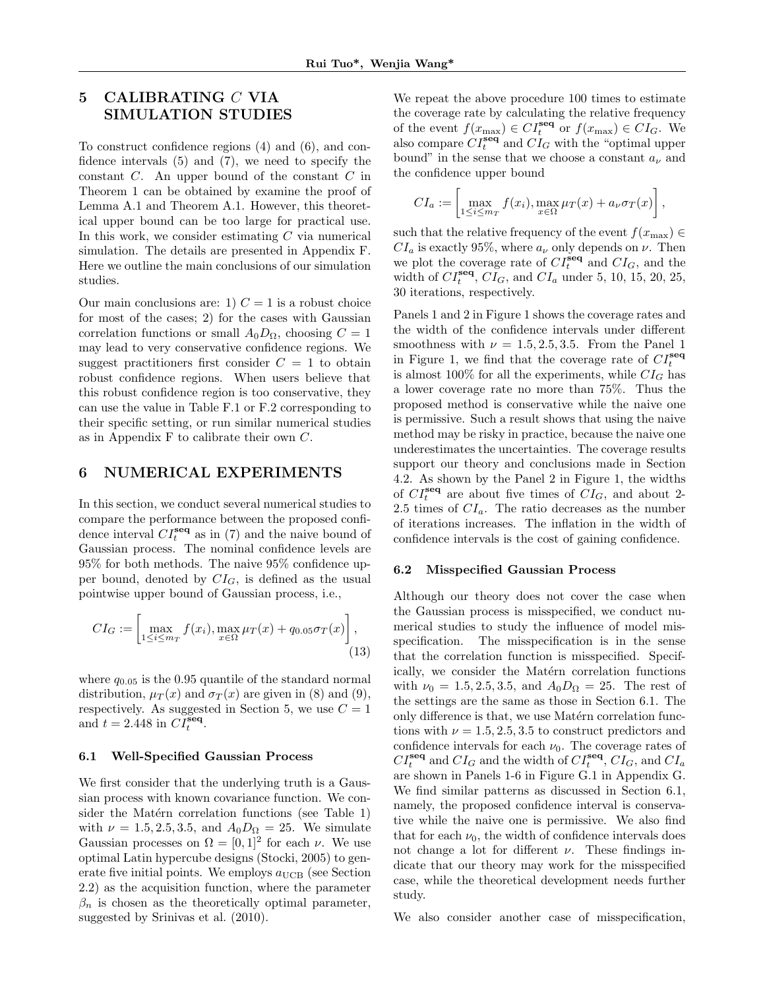# 5 CALIBRATING C VIA SIMULATION STUDIES

To construct confidence regions (4) and (6), and confidence intervals (5) and (7), we need to specify the constant C. An upper bound of the constant C in Theorem 1 can be obtained by examine the proof of Lemma A.1 and Theorem A.1. However, this theoretical upper bound can be too large for practical use. In this work, we consider estimating  $C$  via numerical simulation. The details are presented in Appendix F. Here we outline the main conclusions of our simulation studies.

Our main conclusions are: 1)  $C = 1$  is a robust choice for most of the cases; 2) for the cases with Gaussian correlation functions or small  $A_0D_{\Omega}$ , choosing  $C=1$ may lead to very conservative confidence regions. We suggest practitioners first consider  $C = 1$  to obtain robust confidence regions. When users believe that this robust confidence region is too conservative, they can use the value in Table F.1 or F.2 corresponding to their specific setting, or run similar numerical studies as in Appendix F to calibrate their own C.

### 6 NUMERICAL EXPERIMENTS

In this section, we conduct several numerical studies to compare the performance between the proposed confidence interval  $CI_t^{\text{seq}}$  as in (7) and the naive bound of Gaussian process. The nominal confidence levels are 95% for both methods. The naive 95% confidence upper bound, denoted by  $CI_G$ , is defined as the usual pointwise upper bound of Gaussian process, i.e.,

$$
CI_G := \left[ \max_{1 \le i \le m_T} f(x_i), \max_{x \in \Omega} \mu_T(x) + q_{0.05} \sigma_T(x) \right],
$$
\n(13)

where  $q_{0.05}$  is the 0.95 quantile of the standard normal distribution,  $\mu_T(x)$  and  $\sigma_T(x)$  are given in (8) and (9), respectively. As suggested in Section 5, we use  $C = 1$ and  $t = 2.448$  in  $CI_t^{\text{seq}}$ .

#### 6.1 Well-Specified Gaussian Process

We first consider that the underlying truth is a Gaussian process with known covariance function. We consider the Matérn correlation functions (see Table 1) with  $\nu = 1.5, 2.5, 3.5, \text{ and } A_0 D_\Omega = 25.$  We simulate Gaussian processes on  $\Omega = [0,1]^2$  for each  $\nu$ . We use optimal Latin hypercube designs (Stocki, 2005) to generate five initial points. We employs  $a_{\text{UCB}}$  (see Section 2.2) as the acquisition function, where the parameter  $\beta_n$  is chosen as the theoretically optimal parameter, suggested by Srinivas et al. (2010).

We repeat the above procedure 100 times to estimate the coverage rate by calculating the relative frequency of the event  $f(x_{\text{max}}) \in CI_t^{\text{seq}}$  or  $f(x_{\text{max}}) \in CI_G$ . We also compare  $CI_t^{\text{seq}}$  and  $CI_G$  with the "optimal upper bound" in the sense that we choose a constant  $a_{\nu}$  and the confidence upper bound

$$
CI_a := \left[\max_{1 \le i \le m_T} f(x_i), \max_{x \in \Omega} \mu_T(x) + a_{\nu} \sigma_T(x)\right],
$$

such that the relative frequency of the event  $f(x_{\text{max}}) \in$  $CI_a$  is exactly 95%, where  $a_{\nu}$  only depends on  $\nu$ . Then we plot the coverage rate of  $CI_t^{\text{seq}}$  and  $CI_G$ , and the width of  $CI_t^{\text{seq}}, CI_G$ , and  $CI_a$  under 5, 10, 15, 20, 25, 30 iterations, respectively.

Panels 1 and 2 in Figure 1 shows the coverage rates and the width of the confidence intervals under different smoothness with  $\nu = 1.5, 2.5, 3.5$ . From the Panel 1 in Figure 1, we find that the coverage rate of  $CI_t^{\text{seq}}$ is almost 100% for all the experiments, while  $CI_G$  has a lower coverage rate no more than 75%. Thus the proposed method is conservative while the naive one is permissive. Such a result shows that using the naive method may be risky in practice, because the naive one underestimates the uncertainties. The coverage results support our theory and conclusions made in Section 4.2. As shown by the Panel 2 in Figure 1, the widths of  $CI_t^{\text{seq}}$  are about five times of  $CI_G$ , and about 2-2.5 times of  $CI_a$ . The ratio decreases as the number of iterations increases. The inflation in the width of confidence intervals is the cost of gaining confidence.

#### 6.2 Misspecified Gaussian Process

Although our theory does not cover the case when the Gaussian process is misspecified, we conduct numerical studies to study the influence of model misspecification. The misspecification is in the sense that the correlation function is misspecified. Specifically, we consider the Matérn correlation functions with  $\nu_0 = 1.5, 2.5, 3.5, \text{ and } A_0 D_\Omega = 25.$  The rest of the settings are the same as those in Section 6.1. The only difference is that, we use Matérn correlation functions with  $\nu = 1.5, 2.5, 3.5$  to construct predictors and confidence intervals for each  $\nu_0$ . The coverage rates of  $CI_t^{\text{seq}}$  and  $CI_G$  and the width of  $CI_t^{\text{seq}}, CI_G$ , and  $CI_a$ are shown in Panels 1-6 in Figure G.1 in Appendix G. We find similar patterns as discussed in Section 6.1, namely, the proposed confidence interval is conservative while the naive one is permissive. We also find that for each  $\nu_0$ , the width of confidence intervals does not change a lot for different  $\nu$ . These findings indicate that our theory may work for the misspecified case, while the theoretical development needs further study.

We also consider another case of misspecification,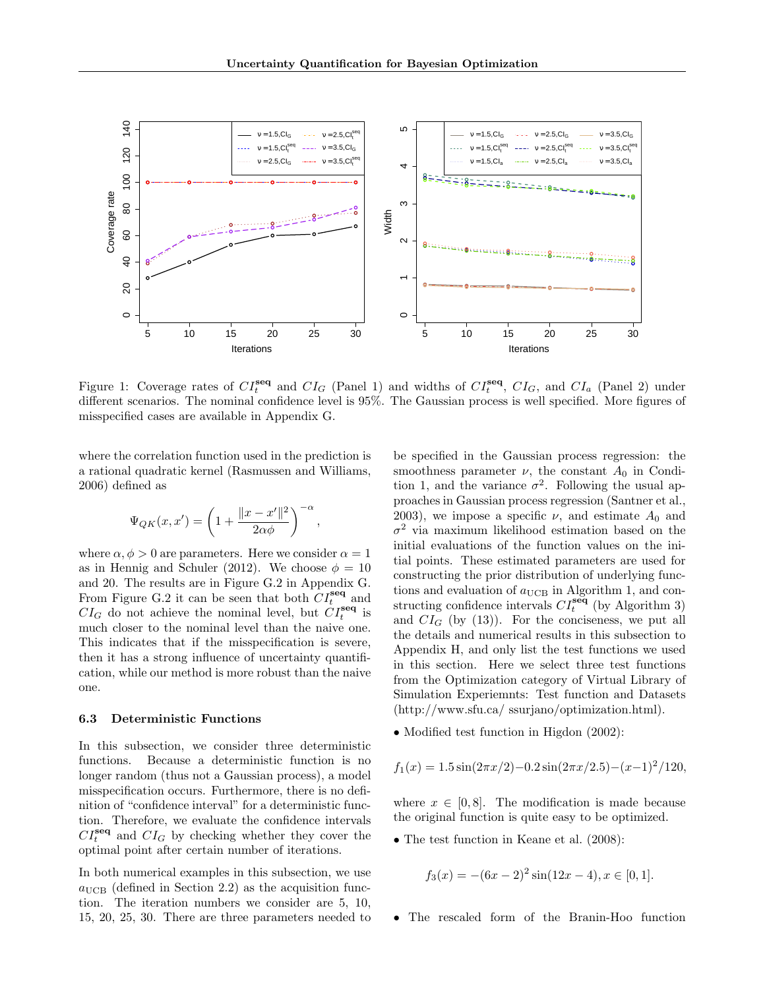

Figure 1: Coverage rates of  $CI_t^{\text{seq}}$  and  $CI_G$  (Panel 1) and widths of  $CI_t^{\text{seq}}$ ,  $CI_G$ , and  $CI_a$  (Panel 2) under different scenarios. The nominal confidence level is 95%. The Gaussian process is well specified. More figures of misspecified cases are available in Appendix G.

where the correlation function used in the prediction is a rational quadratic kernel (Rasmussen and Williams, 2006) defined as

$$
\Psi_{QK}(x,x') = \left(1 + \frac{\|x-x'\|^2}{2\alpha\phi}\right)^{-\alpha},\,
$$

where  $\alpha, \phi > 0$  are parameters. Here we consider  $\alpha = 1$ as in Hennig and Schuler (2012). We choose  $\phi = 10$ and 20. The results are in Figure G.2 in Appendix G. From Figure G.2 it can be seen that both  $CI_t^{\text{seq}}$  and  $CI_G$  do not achieve the nominal level, but  $CI_t^{\text{seq}}$  is much closer to the nominal level than the naive one. This indicates that if the misspecification is severe, then it has a strong influence of uncertainty quantification, while our method is more robust than the naive one.

#### 6.3 Deterministic Functions

In this subsection, we consider three deterministic functions. Because a deterministic function is no longer random (thus not a Gaussian process), a model misspecification occurs. Furthermore, there is no definition of "confidence interval" for a deterministic function. Therefore, we evaluate the confidence intervals  $CI_t^{\text{seq}}$  and  $CI_G$  by checking whether they cover the optimal point after certain number of iterations.

In both numerical examples in this subsection, we use  $a_{\text{UCB}}$  (defined in Section 2.2) as the acquisition function. The iteration numbers we consider are 5, 10, 15, 20, 25, 30. There are three parameters needed to be specified in the Gaussian process regression: the smoothness parameter  $\nu$ , the constant  $A_0$  in Condition 1, and the variance  $\sigma^2$ . Following the usual approaches in Gaussian process regression (Santner et al., 2003), we impose a specific  $\nu$ , and estimate  $A_0$  and  $\sigma^2$  via maximum likelihood estimation based on the initial evaluations of the function values on the initial points. These estimated parameters are used for constructing the prior distribution of underlying functions and evaluation of  $a_{\text{UCB}}$  in Algorithm 1, and constructing confidence intervals  $CI_t^{\text{seq}}$  (by Algorithm 3) and  $CI_G$  (by (13)). For the conciseness, we put all the details and numerical results in this subsection to Appendix H, and only list the test functions we used in this section. Here we select three test functions from the Optimization category of Virtual Library of Simulation Experiemnts: Test function and Datasets (http://www.sfu.ca/ ssurjano/optimization.html).

• Modified test function in Higdon (2002):

$$
f_1(x) = 1.5 \sin(2\pi x/2) - 0.2 \sin(2\pi x/2.5) - (x-1)^2/120,
$$

where  $x \in [0, 8]$ . The modification is made because the original function is quite easy to be optimized.

• The test function in Keane et al.  $(2008)$ :

$$
f_3(x) = -(6x - 2)^2 \sin(12x - 4), x \in [0, 1].
$$

• The rescaled form of the Branin-Hoo function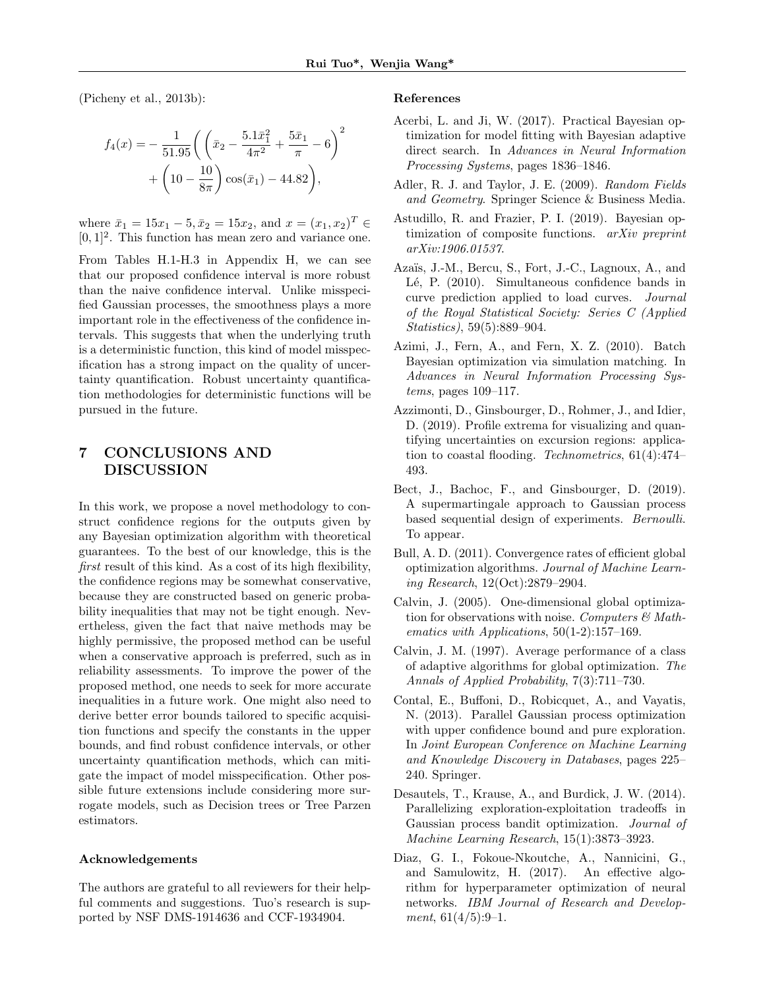(Picheny et al., 2013b):

$$
f_4(x) = -\frac{1}{51.95} \left( \left( \bar{x}_2 - \frac{5.1\bar{x}_1^2}{4\pi^2} + \frac{5\bar{x}_1}{\pi} - 6 \right)^2 + \left( 10 - \frac{10}{8\pi} \right) \cos(\bar{x}_1) - 44.82 \right),
$$

where  $\bar{x}_1 = 15x_1 - 5, \bar{x}_2 = 15x_2$ , and  $x = (x_1, x_2)^T \in$  $[0, 1]^2$ . This function has mean zero and variance one.

From Tables H.1-H.3 in Appendix H, we can see that our proposed confidence interval is more robust than the naive confidence interval. Unlike misspecified Gaussian processes, the smoothness plays a more important role in the effectiveness of the confidence intervals. This suggests that when the underlying truth is a deterministic function, this kind of model misspecification has a strong impact on the quality of uncertainty quantification. Robust uncertainty quantification methodologies for deterministic functions will be pursued in the future.

# 7 CONCLUSIONS AND DISCUSSION

In this work, we propose a novel methodology to construct confidence regions for the outputs given by any Bayesian optimization algorithm with theoretical guarantees. To the best of our knowledge, this is the first result of this kind. As a cost of its high flexibility, the confidence regions may be somewhat conservative, because they are constructed based on generic probability inequalities that may not be tight enough. Nevertheless, given the fact that naive methods may be highly permissive, the proposed method can be useful when a conservative approach is preferred, such as in reliability assessments. To improve the power of the proposed method, one needs to seek for more accurate inequalities in a future work. One might also need to derive better error bounds tailored to specific acquisition functions and specify the constants in the upper bounds, and find robust confidence intervals, or other uncertainty quantification methods, which can mitigate the impact of model misspecification. Other possible future extensions include considering more surrogate models, such as Decision trees or Tree Parzen estimators.

#### Acknowledgements

The authors are grateful to all reviewers for their helpful comments and suggestions. Tuo's research is supported by NSF DMS-1914636 and CCF-1934904.

#### References

- Acerbi, L. and Ji, W. (2017). Practical Bayesian optimization for model fitting with Bayesian adaptive direct search. In Advances in Neural Information Processing Systems, pages 1836–1846.
- Adler, R. J. and Taylor, J. E. (2009). Random Fields and Geometry. Springer Science & Business Media.
- Astudillo, R. and Frazier, P. I. (2019). Bayesian optimization of composite functions. arXiv preprint arXiv:1906.01537.
- Azaïs, J.-M., Bercu, S., Fort, J.-C., Lagnoux, A., and Lé, P. (2010). Simultaneous confidence bands in curve prediction applied to load curves. Journal of the Royal Statistical Society: Series C (Applied Statistics), 59(5):889–904.
- Azimi, J., Fern, A., and Fern, X. Z. (2010). Batch Bayesian optimization via simulation matching. In Advances in Neural Information Processing Systems, pages 109–117.
- Azzimonti, D., Ginsbourger, D., Rohmer, J., and Idier, D. (2019). Profile extrema for visualizing and quantifying uncertainties on excursion regions: application to coastal flooding. Technometrics, 61(4):474– 493.
- Bect, J., Bachoc, F., and Ginsbourger, D. (2019). A supermartingale approach to Gaussian process based sequential design of experiments. Bernoulli. To appear.
- Bull, A. D. (2011). Convergence rates of efficient global optimization algorithms. Journal of Machine Learning Research, 12(Oct):2879–2904.
- Calvin, J. (2005). One-dimensional global optimization for observations with noise. Computers  $\mathcal{B}$  Mathematics with Applications, 50(1-2):157–169.
- Calvin, J. M. (1997). Average performance of a class of adaptive algorithms for global optimization. The Annals of Applied Probability, 7(3):711–730.
- Contal, E., Buffoni, D., Robicquet, A., and Vayatis, N. (2013). Parallel Gaussian process optimization with upper confidence bound and pure exploration. In Joint European Conference on Machine Learning and Knowledge Discovery in Databases, pages 225– 240. Springer.
- Desautels, T., Krause, A., and Burdick, J. W. (2014). Parallelizing exploration-exploitation tradeoffs in Gaussian process bandit optimization. Journal of Machine Learning Research, 15(1):3873–3923.
- Diaz, G. I., Fokoue-Nkoutche, A., Nannicini, G., and Samulowitz, H. (2017). An effective algorithm for hyperparameter optimization of neural networks. IBM Journal of Research and Development,  $61(4/5):9-1$ .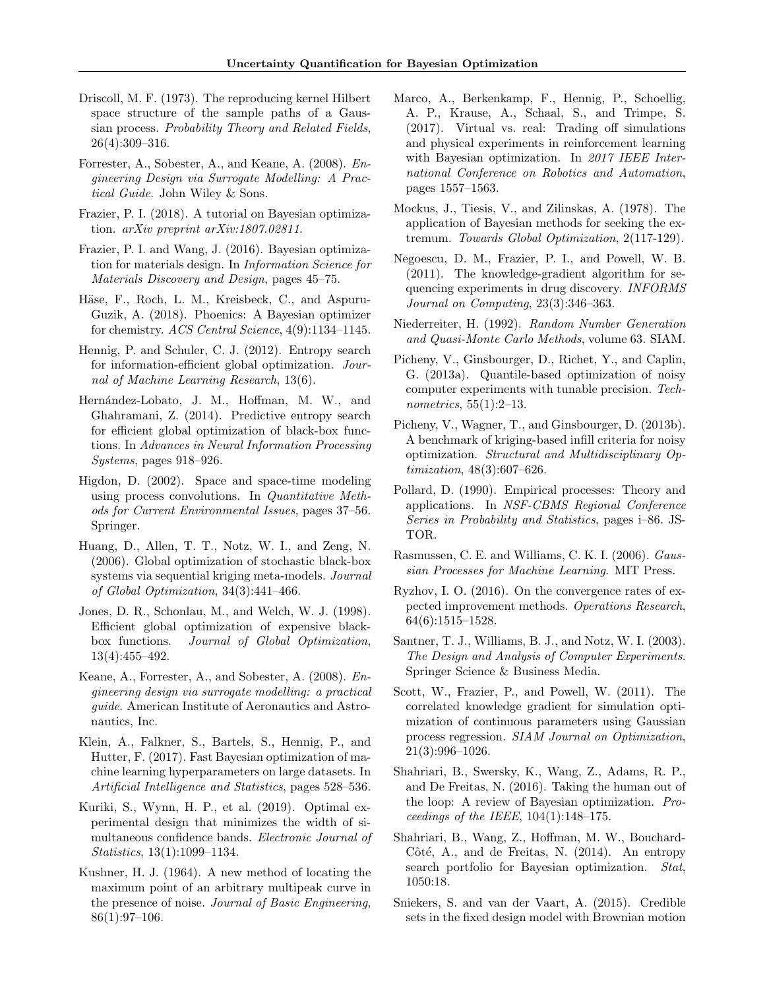- Driscoll, M. F. (1973). The reproducing kernel Hilbert space structure of the sample paths of a Gaussian process. Probability Theory and Related Fields, 26(4):309–316.
- Forrester, A., Sobester, A., and Keane, A. (2008). Engineering Design via Surrogate Modelling: A Practical Guide. John Wiley & Sons.
- Frazier, P. I. (2018). A tutorial on Bayesian optimization. arXiv preprint arXiv:1807.02811.
- Frazier, P. I. and Wang, J. (2016). Bayesian optimization for materials design. In Information Science for Materials Discovery and Design, pages 45–75.
- Häse, F., Roch, L. M., Kreisbeck, C., and Aspuru-Guzik, A. (2018). Phoenics: A Bayesian optimizer for chemistry. ACS Central Science, 4(9):1134–1145.
- Hennig, P. and Schuler, C. J. (2012). Entropy search for information-efficient global optimization. Journal of Machine Learning Research, 13(6).
- Hern´andez-Lobato, J. M., Hoffman, M. W., and Ghahramani, Z. (2014). Predictive entropy search for efficient global optimization of black-box functions. In Advances in Neural Information Processing Systems, pages 918–926.
- Higdon, D. (2002). Space and space-time modeling using process convolutions. In *Quantitative Meth*ods for Current Environmental Issues, pages 37–56. Springer.
- Huang, D., Allen, T. T., Notz, W. I., and Zeng, N. (2006). Global optimization of stochastic black-box systems via sequential kriging meta-models. Journal of Global Optimization, 34(3):441–466.
- Jones, D. R., Schonlau, M., and Welch, W. J. (1998). Efficient global optimization of expensive blackbox functions. Journal of Global Optimization, 13(4):455–492.
- Keane, A., Forrester, A., and Sobester, A. (2008). Engineering design via surrogate modelling: a practical guide. American Institute of Aeronautics and Astronautics, Inc.
- Klein, A., Falkner, S., Bartels, S., Hennig, P., and Hutter, F. (2017). Fast Bayesian optimization of machine learning hyperparameters on large datasets. In Artificial Intelligence and Statistics, pages 528–536.
- Kuriki, S., Wynn, H. P., et al. (2019). Optimal experimental design that minimizes the width of simultaneous confidence bands. Electronic Journal of Statistics, 13(1):1099–1134.
- Kushner, H. J. (1964). A new method of locating the maximum point of an arbitrary multipeak curve in the presence of noise. Journal of Basic Engineering,  $86(1):97-106.$
- Marco, A., Berkenkamp, F., Hennig, P., Schoellig, A. P., Krause, A., Schaal, S., and Trimpe, S. (2017). Virtual vs. real: Trading off simulations and physical experiments in reinforcement learning with Bayesian optimization. In 2017 IEEE International Conference on Robotics and Automation, pages 1557–1563.
- Mockus, J., Tiesis, V., and Zilinskas, A. (1978). The application of Bayesian methods for seeking the extremum. Towards Global Optimization, 2(117-129).
- Negoescu, D. M., Frazier, P. I., and Powell, W. B. (2011). The knowledge-gradient algorithm for sequencing experiments in drug discovery. INFORMS Journal on Computing, 23(3):346–363.
- Niederreiter, H. (1992). Random Number Generation and Quasi-Monte Carlo Methods, volume 63. SIAM.
- Picheny, V., Ginsbourger, D., Richet, Y., and Caplin, G. (2013a). Quantile-based optimization of noisy computer experiments with tunable precision. Technometrics, 55(1):2–13.
- Picheny, V., Wagner, T., and Ginsbourger, D. (2013b). A benchmark of kriging-based infill criteria for noisy optimization. Structural and Multidisciplinary Optimization, 48(3):607–626.
- Pollard, D. (1990). Empirical processes: Theory and applications. In NSF-CBMS Regional Conference Series in Probability and Statistics, pages i–86. JS-TOR.
- Rasmussen, C. E. and Williams, C. K. I. (2006). Gaussian Processes for Machine Learning. MIT Press.
- Ryzhov, I. O. (2016). On the convergence rates of expected improvement methods. Operations Research, 64(6):1515–1528.
- Santner, T. J., Williams, B. J., and Notz, W. I. (2003). The Design and Analysis of Computer Experiments. Springer Science & Business Media.
- Scott, W., Frazier, P., and Powell, W. (2011). The correlated knowledge gradient for simulation optimization of continuous parameters using Gaussian process regression. SIAM Journal on Optimization, 21(3):996–1026.
- Shahriari, B., Swersky, K., Wang, Z., Adams, R. P., and De Freitas, N. (2016). Taking the human out of the loop: A review of Bayesian optimization. Proceedings of the IEEE, 104(1):148–175.
- Shahriari, B., Wang, Z., Hoffman, M. W., Bouchard-Côté, A., and de Freitas, N.  $(2014)$ . An entropy search portfolio for Bayesian optimization. Stat, 1050:18.
- Sniekers, S. and van der Vaart, A. (2015). Credible sets in the fixed design model with Brownian motion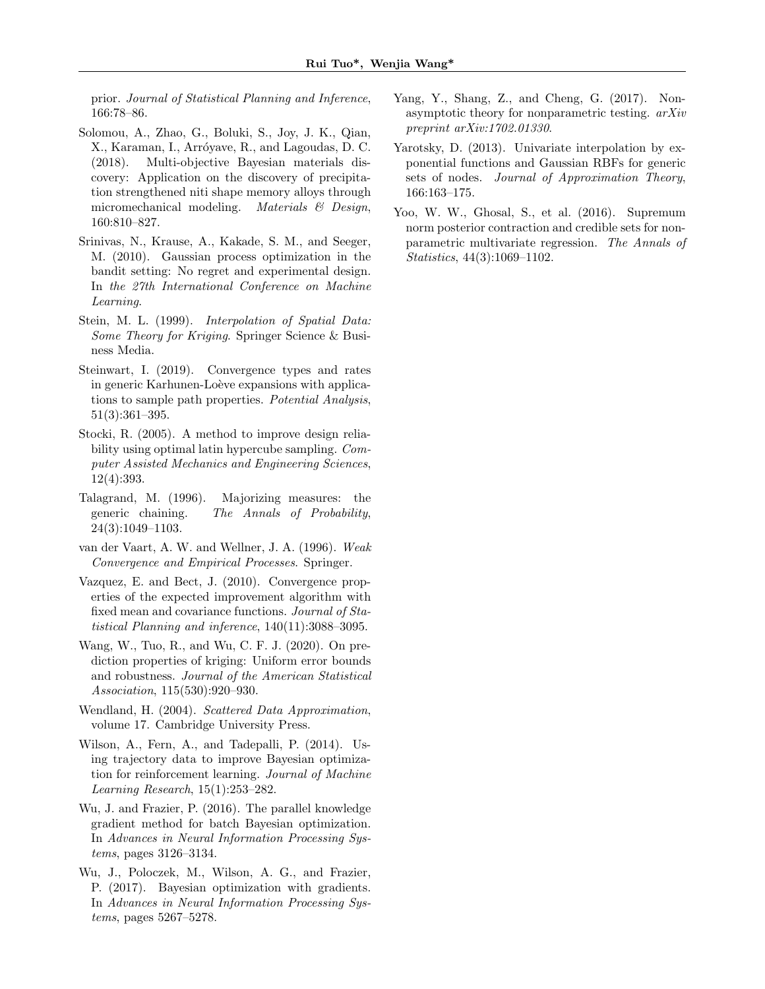prior. Journal of Statistical Planning and Inference, 166:78–86.

- Solomou, A., Zhao, G., Boluki, S., Joy, J. K., Qian, X., Karaman, I., Arróyave, R., and Lagoudas, D. C. (2018). Multi-objective Bayesian materials discovery: Application on the discovery of precipitation strengthened niti shape memory alloys through micromechanical modeling. Materials  $\mathcal{B}$  Design, 160:810–827.
- Srinivas, N., Krause, A., Kakade, S. M., and Seeger, M. (2010). Gaussian process optimization in the bandit setting: No regret and experimental design. In the 27th International Conference on Machine Learning.
- Stein, M. L. (1999). Interpolation of Spatial Data: Some Theory for Kriging. Springer Science & Business Media.
- Steinwart, I. (2019). Convergence types and rates in generic Karhunen-Loève expansions with applications to sample path properties. Potential Analysis, 51(3):361–395.
- Stocki, R. (2005). A method to improve design reliability using optimal latin hypercube sampling. Computer Assisted Mechanics and Engineering Sciences, 12(4):393.
- Talagrand, M. (1996). Majorizing measures: the generic chaining. The Annals of Probability, 24(3):1049–1103.
- van der Vaart, A. W. and Wellner, J. A. (1996). Weak Convergence and Empirical Processes. Springer.
- Vazquez, E. and Bect, J. (2010). Convergence properties of the expected improvement algorithm with fixed mean and covariance functions. Journal of Statistical Planning and inference, 140(11):3088–3095.
- Wang, W., Tuo, R., and Wu, C. F. J. (2020). On prediction properties of kriging: Uniform error bounds and robustness. Journal of the American Statistical Association, 115(530):920–930.
- Wendland, H. (2004). Scattered Data Approximation, volume 17. Cambridge University Press.
- Wilson, A., Fern, A., and Tadepalli, P. (2014). Using trajectory data to improve Bayesian optimization for reinforcement learning. Journal of Machine Learning Research, 15(1):253–282.
- Wu, J. and Frazier, P. (2016). The parallel knowledge gradient method for batch Bayesian optimization. In Advances in Neural Information Processing Systems, pages 3126–3134.
- Wu, J., Poloczek, M., Wilson, A. G., and Frazier, P. (2017). Bayesian optimization with gradients. In Advances in Neural Information Processing Systems, pages 5267–5278.
- Yang, Y., Shang, Z., and Cheng, G. (2017). Nonasymptotic theory for nonparametric testing. arXiv preprint arXiv:1702.01330.
- Yarotsky, D. (2013). Univariate interpolation by exponential functions and Gaussian RBFs for generic sets of nodes. Journal of Approximation Theory, 166:163–175.
- Yoo, W. W., Ghosal, S., et al. (2016). Supremum norm posterior contraction and credible sets for nonparametric multivariate regression. The Annals of Statistics, 44(3):1069–1102.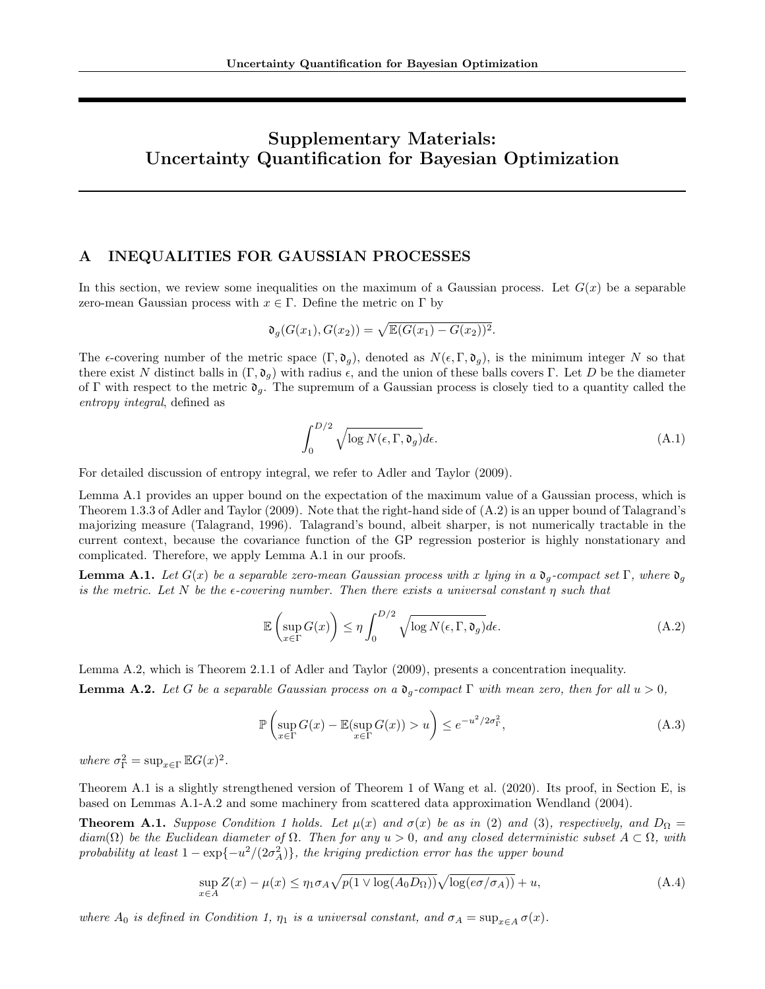# Supplementary Materials: Uncertainty Quantification for Bayesian Optimization

### A INEQUALITIES FOR GAUSSIAN PROCESSES

In this section, we review some inequalities on the maximum of a Gaussian process. Let  $G(x)$  be a separable zero-mean Gaussian process with  $x \in \Gamma$ . Define the metric on  $\Gamma$  by

$$
\mathfrak{d}_g(G(x_1), G(x_2)) = \sqrt{\mathbb{E}(G(x_1) - G(x_2))^2}.
$$

The  $\epsilon$ -covering number of the metric space  $(\Gamma, \mathfrak{d}_q)$ , denoted as  $N(\epsilon, \Gamma, \mathfrak{d}_q)$ , is the minimum integer N so that there exist N distinct balls in  $(\Gamma, \mathfrak{d}_q)$  with radius  $\epsilon$ , and the union of these balls covers  $\Gamma$ . Let D be the diameter of Γ with respect to the metric  $\mathfrak{d}_q$ . The supremum of a Gaussian process is closely tied to a quantity called the entropy integral, defined as

$$
\int_0^{D/2} \sqrt{\log N(\epsilon, \Gamma, \mathfrak{d}_g)} d\epsilon. \tag{A.1}
$$

For detailed discussion of entropy integral, we refer to Adler and Taylor (2009).

Lemma A.1 provides an upper bound on the expectation of the maximum value of a Gaussian process, which is Theorem 1.3.3 of Adler and Taylor (2009). Note that the right-hand side of (A.2) is an upper bound of Talagrand's majorizing measure (Talagrand, 1996). Talagrand's bound, albeit sharper, is not numerically tractable in the current context, because the covariance function of the GP regression posterior is highly nonstationary and complicated. Therefore, we apply Lemma A.1 in our proofs.

**Lemma A.1.** Let  $G(x)$  be a separable zero-mean Gaussian process with x lying in a  $\mathfrak{d}_q$ -compact set  $\Gamma$ , where  $\mathfrak{d}_q$ is the metric. Let N be the  $\epsilon$ -covering number. Then there exists a universal constant  $\eta$  such that

$$
\mathbb{E}\left(\sup_{x\in\Gamma}G(x)\right)\leq\eta\int_{0}^{D/2}\sqrt{\log N(\epsilon,\Gamma,\mathfrak{d}_{g})}d\epsilon.\tag{A.2}
$$

Lemma A.2, which is Theorem 2.1.1 of Adler and Taylor (2009), presents a concentration inequality. **Lemma A.2.** Let G be a separable Gaussian process on a  $\mathfrak{d}_q$ -compact  $\Gamma$  with mean zero, then for all  $u > 0$ ,

$$
\mathbb{P}\left(\sup_{x\in\Gamma} G(x) - \mathbb{E}(\sup_{x\in\Gamma} G(x)) > u\right) \le e^{-u^2/2\sigma_{\Gamma}^2},\tag{A.3}
$$

where  $\sigma_{\Gamma}^2 = \sup_{x \in \Gamma} \mathbb{E} G(x)^2$ .

Theorem A.1 is a slightly strengthened version of Theorem 1 of Wang et al. (2020). Its proof, in Section E, is based on Lemmas A.1-A.2 and some machinery from scattered data approximation Wendland (2004).

**Theorem A.1.** Suppose Condition 1 holds. Let  $\mu(x)$  and  $\sigma(x)$  be as in (2) and (3), respectively, and  $D_{\Omega} =$  $diam(\Omega)$  be the Euclidean diameter of  $\Omega$ . Then for any  $u > 0$ , and any closed deterministic subset  $A \subset \Omega$ , with probability at least  $1 - \exp\{-u^2/(2\sigma_A^2)\}\$ , the kriging prediction error has the upper bound

$$
\sup_{x \in A} Z(x) - \mu(x) \le \eta_1 \sigma_A \sqrt{p(1 \vee \log(A_0 D_\Omega))} \sqrt{\log(e \sigma / \sigma_A))} + u,\tag{A.4}
$$

where  $A_0$  is defined in Condition 1,  $\eta_1$  is a universal constant, and  $\sigma_A = \sup_{x \in A} \sigma(x)$ .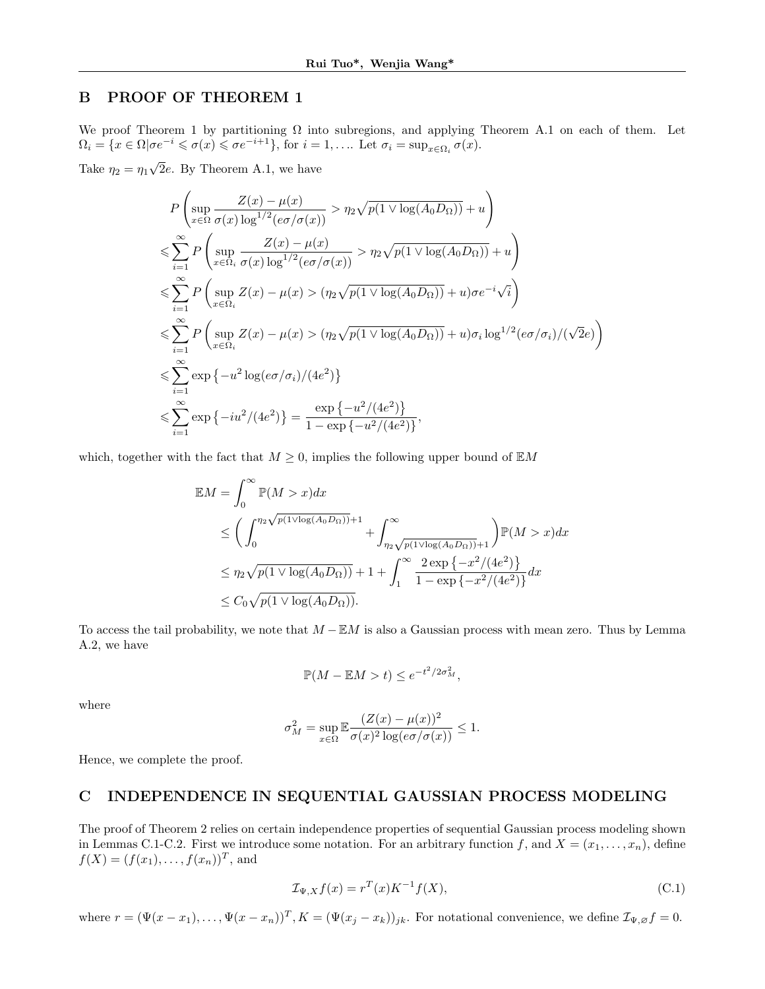### B PROOF OF THEOREM 1

We proof Theorem 1 by partitioning  $\Omega$  into subregions, and applying Theorem A.1 on each of them. Let  $\Omega_i = \{x \in \Omega | \sigma e^{-i} \leq \sigma(x) \leq \sigma e^{-i+1}\},\$  for  $i = 1, \ldots$  Let  $\sigma_i = \sup_{x \in \Omega_i} \sigma(x)$ .

Take  $\eta_2 = \eta_1$ √ 2e. By Theorem A.1, we have

$$
P\left(\sup_{x\in\Omega}\frac{Z(x)-\mu(x)}{\sigma(x)\log^{1/2}(e\sigma/\sigma(x))} > \eta_2\sqrt{p(1\vee\log(A_0D_\Omega))} + u\right)
$$
  
\n
$$
\leqslant \sum_{i=1}^{\infty} P\left(\sup_{x\in\Omega_i}\frac{Z(x)-\mu(x)}{\sigma(x)\log^{1/2}(e\sigma/\sigma(x))} > \eta_2\sqrt{p(1\vee\log(A_0D_\Omega))} + u\right)
$$
  
\n
$$
\leqslant \sum_{i=1}^{\infty} P\left(\sup_{x\in\Omega_i} Z(x)-\mu(x) > (\eta_2\sqrt{p(1\vee\log(A_0D_\Omega))} + u)\sigma e^{-i\sqrt{i}}\right)
$$
  
\n
$$
\leqslant \sum_{i=1}^{\infty} P\left(\sup_{x\in\Omega_i} Z(x)-\mu(x) > (\eta_2\sqrt{p(1\vee\log(A_0D_\Omega))} + u)\sigma_i\log^{1/2}(e\sigma/\sigma_i)/(\sqrt{2}e)\right)
$$
  
\n
$$
\leqslant \sum_{i=1}^{\infty} \exp\left\{-u^2\log(e\sigma/\sigma_i)/(4e^2)\right\}
$$
  
\n
$$
\leqslant \sum_{i=1}^{\infty} \exp\left\{-iu^2/(4e^2)\right\} = \frac{\exp\left\{-u^2/(4e^2)\right\}}{1 - \exp\left\{-u^2/(4e^2)\right\}},
$$

which, together with the fact that  $M \geq 0$ , implies the following upper bound of  $EM$ 

$$
\mathbb{E}M = \int_0^\infty \mathbb{P}(M > x) dx
$$
  
\n
$$
\leq \left(\int_0^{\eta_2 \sqrt{p(1 \vee \log(A_0 D_\Omega))} + 1} + \int_{\eta_2 \sqrt{p(1 \vee \log(A_0 D_\Omega))} + 1}^{\infty} \right) \mathbb{P}(M > x) dx
$$
  
\n
$$
\leq \eta_2 \sqrt{p(1 \vee \log(A_0 D_\Omega))} + 1 + \int_1^\infty \frac{2 \exp\{-x^2/(4e^2)\}}{1 - \exp\{-x^2/(4e^2)\}} dx
$$
  
\n
$$
\leq C_0 \sqrt{p(1 \vee \log(A_0 D_\Omega))}.
$$

To access the tail probability, we note that  $M - EM$  is also a Gaussian process with mean zero. Thus by Lemma A.2, we have

$$
\mathbb{P}(M - \mathbb{E}M > t) \le e^{-t^2/2\sigma_M^2},
$$

where

$$
\sigma_M^2 = \sup_{x \in \Omega} \mathbb{E} \frac{(Z(x) - \mu(x))^2}{\sigma(x)^2 \log(e\sigma/\sigma(x))} \le 1.
$$

Hence, we complete the proof.

### C INDEPENDENCE IN SEQUENTIAL GAUSSIAN PROCESS MODELING

The proof of Theorem 2 relies on certain independence properties of sequential Gaussian process modeling shown in Lemmas C.1-C.2. First we introduce some notation. For an arbitrary function f, and  $X = (x_1, \ldots, x_n)$ , define  $f(X) = (f(x_1), \ldots, f(x_n))^T$ , and

$$
\mathcal{I}_{\Psi,X}f(x) = r^T(x)K^{-1}f(X),\tag{C.1}
$$

where  $r = (\Psi(x - x_1), \dots, \Psi(x - x_n))^T$ ,  $K = (\Psi(x_j - x_k))_{jk}$ . For notational convenience, we define  $\mathcal{I}_{\Psi, \varnothing} f = 0$ .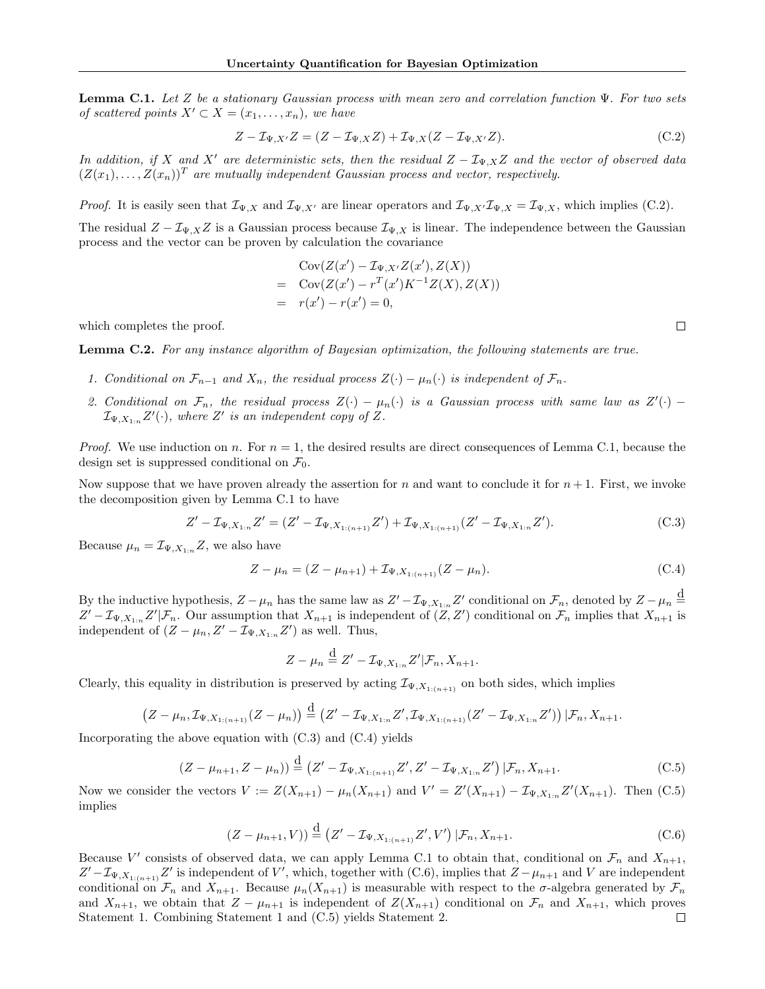**Lemma C.1.** Let Z be a stationary Gaussian process with mean zero and correlation function  $\Psi$ . For two sets of scattered points  $X' \subset X = (x_1, \ldots, x_n)$ , we have

$$
Z - \mathcal{I}_{\Psi, X'}Z = (Z - \mathcal{I}_{\Psi, X}Z) + \mathcal{I}_{\Psi, X}(Z - \mathcal{I}_{\Psi, X'}Z). \tag{C.2}
$$

In addition, if X and X' are deterministic sets, then the residual  $Z - \mathcal{I}_{\Psi,X}Z$  and the vector of observed data  $(Z(x_1),..., Z(x_n))^T$  are mutually independent Gaussian process and vector, respectively.

*Proof.* It is easily seen that  $\mathcal{I}_{\Psi,X}$  and  $\mathcal{I}_{\Psi,X'}$  are linear operators and  $\mathcal{I}_{\Psi,X'}\mathcal{I}_{\Psi,X} = \mathcal{I}_{\Psi,X}$ , which implies (C.2).

The residual  $Z - \mathcal{I}_{\Psi,X}Z$  is a Gaussian process because  $\mathcal{I}_{\Psi,X}$  is linear. The independence between the Gaussian process and the vector can be proven by calculation the covariance

$$
Cov(Z(x') - \mathcal{I}_{\Psi,X'}Z(x'), Z(X))
$$
  
= Cov(Z(x') - r<sup>T</sup>(x')K<sup>-1</sup>Z(X), Z(X))  
= r(x') - r(x') = 0,

which completes the proof.

Lemma C.2. For any instance algorithm of Bayesian optimization, the following statements are true.

- 1. Conditional on  $\mathcal{F}_{n-1}$  and  $X_n$ , the residual process  $Z(\cdot) \mu_n(\cdot)$  is independent of  $\mathcal{F}_n$ .
- 2. Conditional on  $\mathcal{F}_n$ , the residual process  $Z(\cdot) \mu_n(\cdot)$  is a Gaussian process with same law as  $Z'(\cdot)$   $\mathcal{I}_{\Psi,X_{1:n}}Z'(\cdot)$ , where  $Z'$  is an independent copy of Z.

*Proof.* We use induction on n. For  $n = 1$ , the desired results are direct consequences of Lemma C.1, because the design set is suppressed conditional on  $\mathcal{F}_0$ .

Now suppose that we have proven already the assertion for n and want to conclude it for  $n+1$ . First, we invoke the decomposition given by Lemma C.1 to have

$$
Z' - \mathcal{I}_{\Psi, X_{1:n}} Z' = (Z' - \mathcal{I}_{\Psi, X_{1:(n+1)}} Z') + \mathcal{I}_{\Psi, X_{1:(n+1)}} (Z' - \mathcal{I}_{\Psi, X_{1:n}} Z').
$$
\n(C.3)

Because  $\mu_n = \mathcal{I}_{\Psi, X_{1:n}} Z$ , we also have

$$
Z - \mu_n = (Z - \mu_{n+1}) + \mathcal{I}_{\Psi, X_{1:(n+1)}}(Z - \mu_n). \tag{C.4}
$$

By the inductive hypothesis,  $Z - \mu_n$  has the same law as  $Z' - \mathcal{I}_{\Psi, X_{1:n}} Z'$  conditional on  $\mathcal{F}_n$ , denoted by  $Z - \mu_n \stackrel{\text{d}}{=}$  $Z'-\mathcal{I}_{\Psi,X_{1:n}}Z'\vert\mathcal{F}_n$ . Our assumption that  $X_{n+1}$  is independent of  $(Z,Z')$  conditional on  $\mathcal{F}_n$  implies that  $X_{n+1}$  is independent of  $(Z - \mu_n, Z' - \mathcal{I}_{\Psi, X_{1:n}} Z')$  as well. Thus,

$$
Z - \mu_n \stackrel{\text{d}}{=} Z' - \mathcal{I}_{\Psi, X_{1:n}} Z' | \mathcal{F}_n, X_{n+1}.
$$

Clearly, this equality in distribution is preserved by acting  $\mathcal{I}_{\Psi,X_{1:(n+1)}}$  on both sides, which implies

$$
(Z-\mu_n,\mathcal{I}_{\Psi,X_{1:(n+1)}}(Z-\mu_n))\stackrel{d}{=} (Z'-\mathcal{I}_{\Psi,X_{1:n}}Z',\mathcal{I}_{\Psi,X_{1:(n+1)}}(Z'-\mathcal{I}_{\Psi,X_{1:n}}Z'))\,|\mathcal{F}_n,X_{n+1}.
$$

Incorporating the above equation with  $(C.3)$  and  $(C.4)$  yields

$$
(Z - \mu_{n+1}, Z - \mu_n)) \stackrel{\text{d}}{=} (Z' - \mathcal{I}_{\Psi, X_{1:(n+1)}} Z', Z' - \mathcal{I}_{\Psi, X_{1:n}} Z') | \mathcal{F}_n, X_{n+1}.
$$
 (C.5)

Now we consider the vectors  $V := Z(X_{n+1}) - \mu_n(X_{n+1})$  and  $V' = Z'(X_{n+1}) - \mathcal{I}_{\Psi, X_{1:n}}Z'(X_{n+1})$ . Then (C.5) implies

$$
(Z - \mu_{n+1}, V)) \stackrel{\text{d}}{=} (Z' - \mathcal{I}_{\Psi, X_{1:(n+1)}} Z', V') | \mathcal{F}_n, X_{n+1}.
$$
 (C.6)

Because V' consists of observed data, we can apply Lemma C.1 to obtain that, conditional on  $\mathcal{F}_n$  and  $X_{n+1}$ ,  $Z'-\mathcal{I}_{\Psi,X_{1:(n+1)}}Z'$  is independent of V', which, together with (C.6), implies that  $Z-\mu_{n+1}$  and V are independent conditional on  $\mathcal{F}_n$  and  $X_{n+1}$ . Because  $\mu_n(X_{n+1})$  is measurable with respect to the  $\sigma$ -algebra generated by  $\mathcal{F}_n$ and  $X_{n+1}$ , we obtain that  $Z - \mu_{n+1}$  is independent of  $Z(X_{n+1})$  conditional on  $\mathcal{F}_n$  and  $X_{n+1}$ , which proves Statement 1. Combining Statement 1 and (C.5) yields Statement 2. $\Box$ 

 $\Box$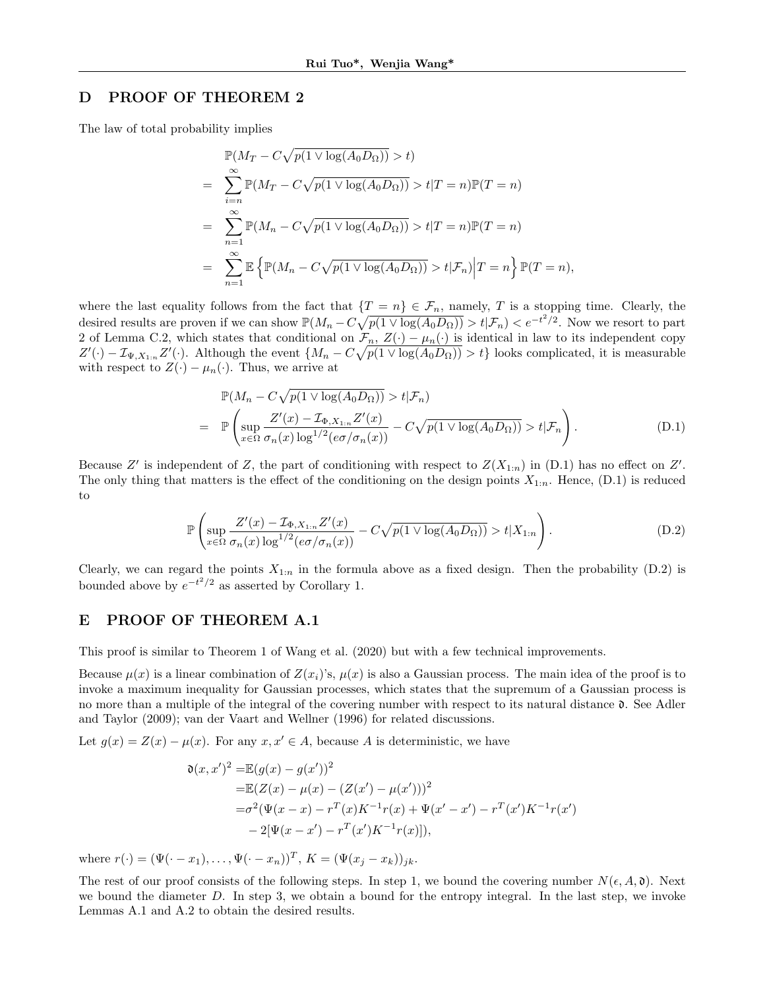### D PROOF OF THEOREM 2

The law of total probability implies

$$
\mathbb{P}(M_T - C\sqrt{p(1 \vee \log(A_0 D_\Omega))} > t)
$$
\n
$$
= \sum_{i=n}^{\infty} \mathbb{P}(M_T - C\sqrt{p(1 \vee \log(A_0 D_\Omega))} > t | T = n) \mathbb{P}(T = n)
$$
\n
$$
= \sum_{n=1}^{\infty} \mathbb{P}(M_n - C\sqrt{p(1 \vee \log(A_0 D_\Omega))} > t | T = n) \mathbb{P}(T = n)
$$
\n
$$
= \sum_{n=1}^{\infty} \mathbb{E}\left{\mathbb{P}(M_n - C\sqrt{p(1 \vee \log(A_0 D_\Omega))} > t | \mathcal{F}_n)\Big| T = n\right\} \mathbb{P}(T = n),
$$

where the last equality follows from the fact that  $\{T = n\} \in \mathcal{F}_n$ , namely, T is a stopping time. Clearly, the desired results are proven if we can show  $\mathbb{P}(M_n - C\sqrt{p(1 \vee \log(A_0 D_\Omega))} > t | \mathcal{F}_n) < e^{-t^2/2}$ . Now we resort to part 2 of Lemma C.2, which states that conditional on  $\mathcal{F}_n$ ,  $Z(\cdot) - \mu_n(\cdot)$  is identical in law to its independent copy  $Z'(\cdot) - \mathcal{I}_{\Psi, X_{1:n}} Z'(\cdot)$ . Although the event  $\{M_n - C\sqrt{p(1 \vee \log(A_0 D_\Omega))} > t\}$  looks complicated, it is measurable with respect to  $Z(\cdot) - \mu_n(\cdot)$ . Thus, we arrive at

$$
\mathbb{P}(M_n - C\sqrt{p(1 \vee \log(A_0 D_\Omega))} > t | \mathcal{F}_n)
$$
\n
$$
= \mathbb{P}\left(\sup_{x \in \Omega} \frac{Z'(x) - \mathcal{I}_{\Phi, X_{1:n}} Z'(x)}{\sigma_n(x) \log^{1/2}(e\sigma/\sigma_n(x))} - C\sqrt{p(1 \vee \log(A_0 D_\Omega))} > t | \mathcal{F}_n\right).
$$
\n(D.1)

Because Z' is independent of Z, the part of conditioning with respect to  $Z(X_{1:n})$  in (D.1) has no effect on Z'. The only thing that matters is the effect of the conditioning on the design points  $X_{1:n}$ . Hence,  $(D.1)$  is reduced to

$$
\mathbb{P}\left(\sup_{x\in\Omega}\frac{Z'(x)-\mathcal{I}_{\Phi,X_{1:n}}Z'(x)}{\sigma_n(x)\log^{1/2}(e\sigma/\sigma_n(x))}-C\sqrt{p(1\vee\log(A_0D_\Omega))}>t|X_{1:n}\right).
$$
\n(D.2)

Clearly, we can regard the points  $X_{1:n}$  in the formula above as a fixed design. Then the probability (D.2) is bounded above by  $e^{-t^2/2}$  as asserted by Corollary 1.

### E PROOF OF THEOREM A.1

This proof is similar to Theorem 1 of Wang et al. (2020) but with a few technical improvements.

Because  $\mu(x)$  is a linear combination of  $Z(x_i)$ 's,  $\mu(x)$  is also a Gaussian process. The main idea of the proof is to invoke a maximum inequality for Gaussian processes, which states that the supremum of a Gaussian process is no more than a multiple of the integral of the covering number with respect to its natural distance  $\mathfrak{d}$ . See Adler and Taylor (2009); van der Vaart and Wellner (1996) for related discussions.

Let  $g(x) = Z(x) - \mu(x)$ . For any  $x, x' \in A$ , because A is deterministic, we have

$$
\mathfrak{d}(x, x')^2 = \mathbb{E}(g(x) - g(x'))^2
$$
  
=\mathbb{E}(Z(x) - \mu(x) - (Z(x') - \mu(x')))^2  
=\sigma^2(\Psi(x - x) - r^T(x)K^{-1}r(x) + \Psi(x' - x') - r^T(x')K^{-1}r(x')  
-2[\Psi(x - x') - r^T(x')K^{-1}r(x)]),

where  $r(\cdot) = (\Psi(\cdot - x_1), \dots, \Psi(\cdot - x_n))^T$ ,  $K = (\Psi(x_j - x_k))_{jk}$ .

The rest of our proof consists of the following steps. In step 1, we bound the covering number  $N(\epsilon, A, \mathfrak{d})$ . Next we bound the diameter  $D$ . In step 3, we obtain a bound for the entropy integral. In the last step, we invoke Lemmas A.1 and A.2 to obtain the desired results.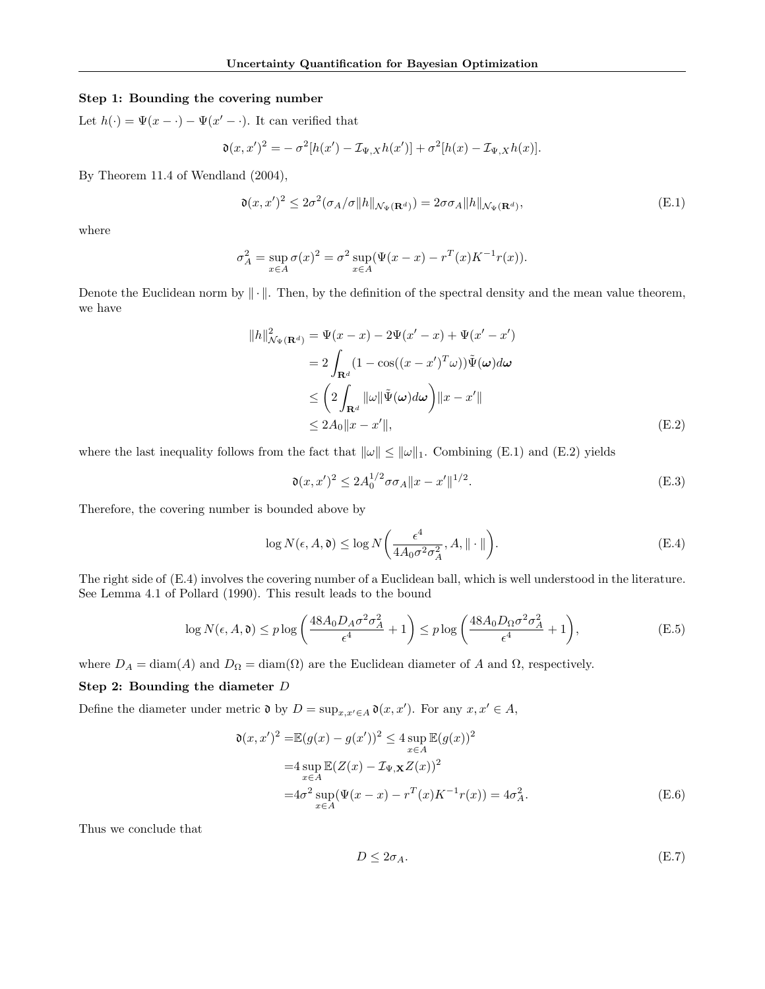### Step 1: Bounding the covering number

Let  $h(\cdot) = \Psi(x - \cdot) - \Psi(x' - \cdot)$ . It can verified that

$$
\mathfrak{d}(x,x')^2 = -\sigma^2[h(x') - \mathcal{I}_{\Psi,X}h(x')] + \sigma^2[h(x) - \mathcal{I}_{\Psi,X}h(x)].
$$

By Theorem 11.4 of Wendland (2004),

$$
\mathfrak{d}(x, x')^2 \le 2\sigma^2 (\sigma_A/\sigma \|h\|_{\mathcal{N}_{\Psi}(\mathbf{R}^d)}) = 2\sigma \sigma_A \|h\|_{\mathcal{N}_{\Psi}(\mathbf{R}^d)},\tag{E.1}
$$

where

$$
\sigma_A^2 = \sup_{x \in A} \sigma(x)^2 = \sigma^2 \sup_{x \in A} (\Psi(x - x) - r^T(x)K^{-1}r(x)).
$$

Denote the Euclidean norm by ∥ · ∥. Then, by the definition of the spectral density and the mean value theorem, we have

$$
||h||_{\mathcal{N}_{\Psi}(\mathbf{R}^{d})}^{2} = \Psi(x - x) - 2\Psi(x' - x) + \Psi(x' - x')
$$
  
\n
$$
= 2 \int_{\mathbf{R}^{d}} (1 - \cos((x - x')^{T}\omega)) \tilde{\Psi}(\omega) d\omega
$$
  
\n
$$
\leq \left(2 \int_{\mathbf{R}^{d}} ||\omega|| \tilde{\Psi}(\omega) d\omega\right) ||x - x'||
$$
  
\n
$$
\leq 2A_{0} ||x - x'||,
$$
\n(E.2)

where the last inequality follows from the fact that  $\|\omega\| \leq \|\omega\|_1$ . Combining (E.1) and (E.2) yields

$$
\mathfrak{d}(x, x')^2 \le 2A_0^{1/2} \sigma \sigma_A \|x - x'\|^{1/2}.
$$
 (E.3)

Therefore, the covering number is bounded above by

$$
\log N(\epsilon, A, \mathfrak{d}) \le \log N \left( \frac{\epsilon^4}{4A_0 \sigma^2 \sigma_A^2}, A, \|\cdot\|\right). \tag{E.4}
$$

The right side of (E.4) involves the covering number of a Euclidean ball, which is well understood in the literature. See Lemma 4.1 of Pollard (1990). This result leads to the bound

$$
\log N(\epsilon, A, \mathfrak{d}) \le p \log \left( \frac{48A_0 D_A \sigma^2 \sigma_A^2}{\epsilon^4} + 1 \right) \le p \log \left( \frac{48A_0 D_\Omega \sigma^2 \sigma_A^2}{\epsilon^4} + 1 \right),\tag{E.5}
$$

where  $D_A = \text{diam}(A)$  and  $D_{\Omega} = \text{diam}(\Omega)$  are the Euclidean diameter of A and  $\Omega$ , respectively.

### Step 2: Bounding the diameter D

Define the diameter under metric  $\mathfrak{d}$  by  $D = \sup_{x,x' \in A} \mathfrak{d}(x,x')$ . For any  $x, x' \in A$ ,

$$
\mathfrak{d}(x, x')^2 = \mathbb{E}(g(x) - g(x'))^2 \le 4 \sup_{x \in A} \mathbb{E}(g(x))^2
$$
  
=4 
$$
\sup_{x \in A} \mathbb{E}(Z(x) - \mathcal{I}_{\Psi, \mathbf{X}} Z(x))^2
$$
  
=4
$$
\sigma^2 \sup_{x \in A} (\Psi(x - x) - r^T(x)K^{-1}r(x)) = 4\sigma_A^2.
$$
 (E.6)

Thus we conclude that

$$
D \le 2\sigma_A. \tag{E.7}
$$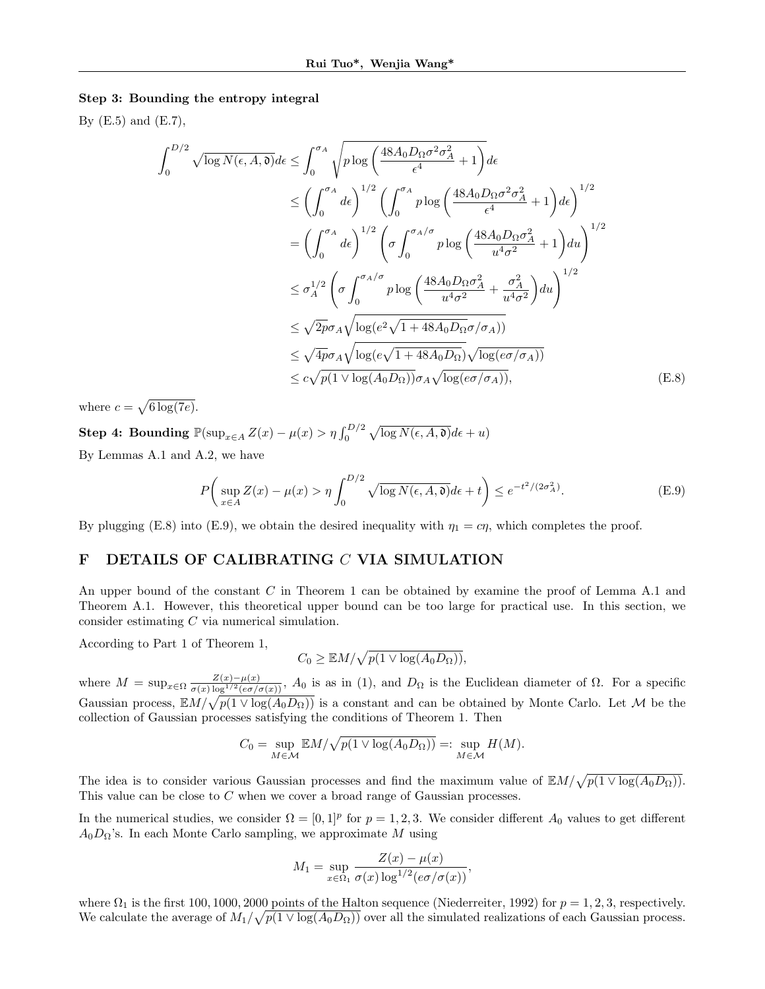### Step 3: Bounding the entropy integral

By  $(E.5)$  and  $(E.7)$ ,

$$
\int_{0}^{D/2} \sqrt{\log N(\epsilon, A, \mathfrak{d})} d\epsilon \leq \int_{0}^{\sigma_{A}} \sqrt{p \log \left(\frac{48A_{0}D_{\Omega}\sigma^{2}\sigma_{A}^{2}}{\epsilon^{4}} + 1\right)} d\epsilon
$$
\n
$$
\leq \left(\int_{0}^{\sigma_{A}} d\epsilon\right)^{1/2} \left(\int_{0}^{\sigma_{A}} p \log \left(\frac{48A_{0}D_{\Omega}\sigma^{2}\sigma_{A}^{2}}{\epsilon^{4}} + 1\right) d\epsilon\right)^{1/2}
$$
\n
$$
= \left(\int_{0}^{\sigma_{A}} d\epsilon\right)^{1/2} \left(\sigma \int_{0}^{\sigma_{A}/\sigma} p \log \left(\frac{48A_{0}D_{\Omega}\sigma_{A}^{2}}{u^{4}\sigma^{2}} + 1\right) du\right)^{1/2}
$$
\n
$$
\leq \sigma_{A}^{1/2} \left(\sigma \int_{0}^{\sigma_{A}/\sigma} p \log \left(\frac{48A_{0}D_{\Omega}\sigma_{A}^{2}}{u^{4}\sigma^{2}} + \frac{\sigma_{A}^{2}}{u^{4}\sigma^{2}}\right) du\right)^{1/2}
$$
\n
$$
\leq \sqrt{2p}\sigma_{A} \sqrt{\log(e^{2}\sqrt{1 + 48A_{0}D_{\Omega}}\sigma/\sigma_{A}))}
$$
\n
$$
\leq \sqrt{4p}\sigma_{A} \sqrt{\log(e\sqrt{1 + 48A_{0}D_{\Omega}})} \sqrt{\log(e\sigma/\sigma_{A}))}
$$
\n
$$
\leq c\sqrt{p(1 \vee \log(A_{0}D_{\Omega}))}\sigma_{A} \sqrt{\log(e\sigma/\sigma_{A})}, \qquad (E.8)
$$

where  $c = \sqrt{6 \log(7e)}$ .

**Step 4: Bounding**  $\mathbb{P}(\sup_{x \in A} Z(x) - \mu(x) > \eta \int_0^{D/2} \sqrt{\log N(\epsilon, A, \mathfrak{d})} d\epsilon + u)$ By Lemmas A.1 and A.2, we have

$$
P\left(\sup_{x\in A} Z(x) - \mu(x) > \eta \int_0^{D/2} \sqrt{\log N(\epsilon, A, \mathfrak{d})} d\epsilon + t\right) \le e^{-t^2/(2\sigma_A^2)}.
$$
 (E.9)

By plugging (E.8) into (E.9), we obtain the desired inequality with  $\eta_1 = c\eta$ , which completes the proof.

### F DETAILS OF CALIBRATING C VIA SIMULATION

An upper bound of the constant C in Theorem 1 can be obtained by examine the proof of Lemma A.1 and Theorem A.1. However, this theoretical upper bound can be too large for practical use. In this section, we consider estimating C via numerical simulation.

According to Part 1 of Theorem 1,

$$
C_0 \geq \mathbb{E}M/\sqrt{p(1 \vee \log(A_0 D_{\Omega}))},
$$

where  $M = \sup_{x \in \Omega} \frac{Z(x) - \mu(x)}{\sigma(x) \log^{1/2} (e^{\sigma/\sigma(x)})}$ ,  $A_0$  is as in (1), and  $D_{\Omega}$  is the Euclidean diameter of  $\Omega$ . For a specific Gaussian process,  $EM/\sqrt{p(1 \vee \log(A_0 D_\Omega))}$  is a constant and can be obtained by Monte Carlo. Let M be the collection of Gaussian processes satisfying the conditions of Theorem 1. Then

$$
C_0 = \sup_{M \in \mathcal{M}} \mathbb{E}M/\sqrt{p(1 \vee \log(A_0 D_\Omega))} =: \sup_{M \in \mathcal{M}} H(M).
$$

The idea is to consider various Gaussian processes and find the maximum value of  $\mathbb{E}M/\sqrt{p(1 \vee \log(A_0 D_\Omega))}$ . This value can be close to C when we cover a broad range of Gaussian processes.

In the numerical studies, we consider  $\Omega = [0,1]^p$  for  $p = 1,2,3$ . We consider different  $A_0$  values to get different  $A_0D_{\Omega}$ 's. In each Monte Carlo sampling, we approximate M using

$$
M_1 = \sup_{x \in \Omega_1} \frac{Z(x) - \mu(x)}{\sigma(x) \log^{1/2} (e\sigma/\sigma(x))},
$$

where  $\Omega_1$  is the first 100, 1000, 2000 points of the Halton sequence (Niederreiter, 1992) for  $p = 1, 2, 3$ , respectively. We calculate the average of  $M_1/\sqrt{p(1 \vee \log(A_0 D_\Omega))}$  over all the simulated realizations of each Gaussian process.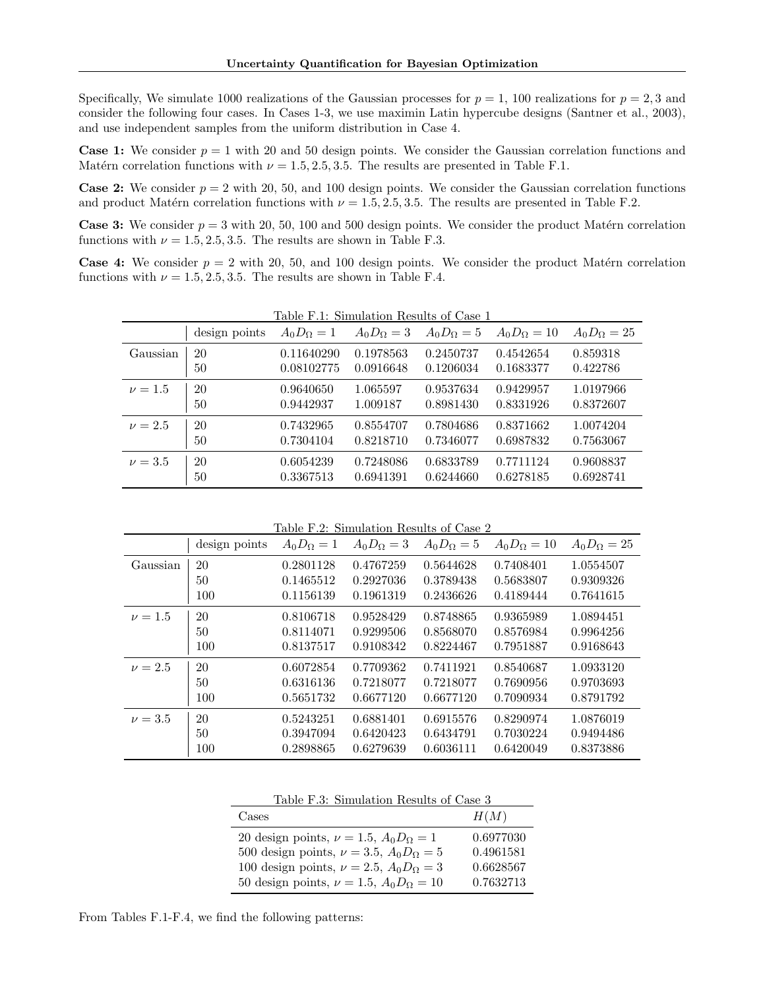Specifically, We simulate 1000 realizations of the Gaussian processes for  $p = 1$ , 100 realizations for  $p = 2, 3$  and consider the following four cases. In Cases 1-3, we use maximin Latin hypercube designs (Santner et al., 2003), and use independent samples from the uniform distribution in Case 4.

**Case 1:** We consider  $p = 1$  with 20 and 50 design points. We consider the Gaussian correlation functions and Matérn correlation functions with  $\nu = 1.5, 2.5, 3.5$ . The results are presented in Table F.1.

**Case 2:** We consider  $p = 2$  with 20, 50, and 100 design points. We consider the Gaussian correlation functions and product Matérn correlation functions with  $\nu = 1.5, 2.5, 3.5$ . The results are presented in Table F.2.

**Case 3:** We consider  $p = 3$  with 20, 50, 100 and 500 design points. We consider the product Matérn correlation functions with  $\nu = 1.5, 2.5, 3.5$ . The results are shown in Table F.3.

**Case 4:** We consider  $p = 2$  with 20, 50, and 100 design points. We consider the product Matérn correlation functions with  $\nu = 1.5, 2.5, 3.5$ . The results are shown in Table F.4.

|             | Table F.1: Simulation Results of Case 1 |                   |                   |                   |                    |                    |  |  |  |
|-------------|-----------------------------------------|-------------------|-------------------|-------------------|--------------------|--------------------|--|--|--|
|             | design points                           | $A_0D_{\Omega}=1$ | $A_0D_{\Omega}=3$ | $A_0D_{\Omega}=5$ | $A_0D_{\Omega}=10$ | $A_0D_{\Omega}=25$ |  |  |  |
| Gaussian    | 20                                      | 0.11640290        | 0.1978563         | 0.2450737         | 0.4542654          | 0.859318           |  |  |  |
|             | 50                                      | 0.08102775        | 0.0916648         | 0.1206034         | 0.1683377          | 0.422786           |  |  |  |
|             |                                         |                   |                   |                   |                    |                    |  |  |  |
| $\nu = 1.5$ | 20                                      | 0.9640650         | 1.065597          | 0.9537634         | 0.9429957          | 1.0197966          |  |  |  |
|             | 50                                      | 0.9442937         | 1.009187          | 0.8981430         | 0.8331926          | 0.8372607          |  |  |  |
| $\nu = 2.5$ | 20                                      | 0.7432965         | 0.8554707         | 0.7804686         | 0.8371662          | 1.0074204          |  |  |  |
|             | 50                                      | 0.7304104         | 0.8218710         | 0.7346077         | 0.6987832          | 0.7563067          |  |  |  |
| $\nu = 3.5$ | 20                                      | 0.6054239         | 0.7248086         | 0.6833789         | 0.7711124          | 0.9608837          |  |  |  |
|             | 50                                      | 0.3367513         | 0.6941391         | 0.6244660         | 0.6278185          | 0.6928741          |  |  |  |

Table F.2: Simulation Results of Case 2

|             | design points | $A_0D_\Omega=1$ | $A_0D_{\Omega}=3$ | $A_0D_{\Omega}=5$ | $A_0D_{\Omega}=10$ | $A_0D_{\Omega}=25$ |
|-------------|---------------|-----------------|-------------------|-------------------|--------------------|--------------------|
| Gaussian    | 20            | 0.2801128       | 0.4767259         | 0.5644628         | 0.7408401          | 1.0554507          |
|             | 50            | 0.1465512       | 0.2927036         | 0.3789438         | 0.5683807          | 0.9309326          |
|             | 100           | 0.1156139       | 0.1961319         | 0.2436626         | 0.4189444          | 0.7641615          |
| $\nu = 1.5$ | 20            | 0.8106718       | 0.9528429         | 0.8748865         | 0.9365989          | 1.0894451          |
|             | 50            | 0.8114071       | 0.9299506         | 0.8568070         | 0.8576984          | 0.9964256          |
|             | 100           | 0.8137517       | 0.9108342         | 0.8224467         | 0.7951887          | 0.9168643          |
| $\nu = 2.5$ | 20            | 0.6072854       | 0.7709362         | 0.7411921         | 0.8540687          | 1.0933120          |
|             | 50            | 0.6316136       | 0.7218077         | 0.7218077         | 0.7690956          | 0.9703693          |
|             | 100           | 0.5651732       | 0.6677120         | 0.6677120         | 0.7090934          | 0.8791792          |
| $\nu = 3.5$ | 20            | 0.5243251       | 0.6881401         | 0.6915576         | 0.8290974          | 1.0876019          |
|             | 50            | 0.3947094       | 0.6420423         | 0.6434791         | 0.7030224          | 0.9494486          |
|             | 100           | 0.2898865       | 0.6279639         | 0.6036111         | 0.6420049          | 0.8373886          |

Table F.3: Simulation Results of Case 3

| Cases                                               | H(M)      |
|-----------------------------------------------------|-----------|
| 20 design points, $\nu = 1.5$ , $A_0 D_\Omega = 1$  | 0.6977030 |
| 500 design points, $\nu = 3.5$ , $A_0 D_\Omega = 5$ | 0.4961581 |
| 100 design points, $\nu = 2.5$ , $A_0 D_\Omega = 3$ | 0.6628567 |
| 50 design points, $\nu = 1.5$ , $A_0 D_\Omega = 10$ | 0.7632713 |

From Tables F.1-F.4, we find the following patterns: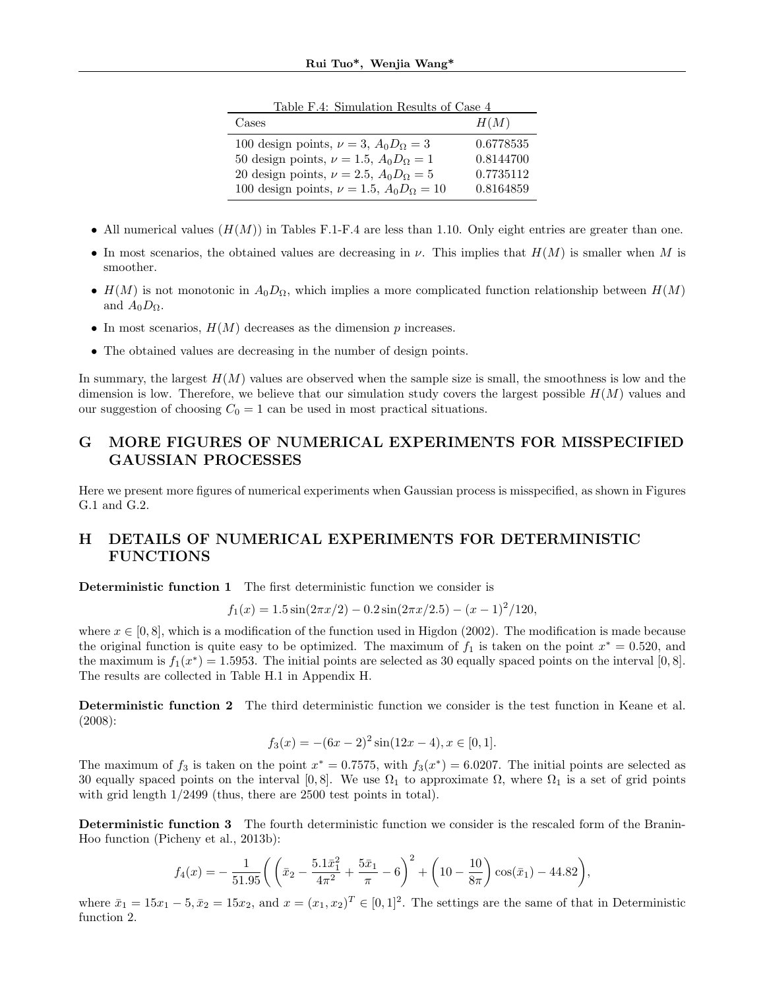| IQDIO I ,I, DHHUUQUOH IQDUIDD OI CODO I              |           |
|------------------------------------------------------|-----------|
| Cases                                                | H(M)      |
| 100 design points, $\nu = 3$ , $A_0 D_\Omega = 3$    | 0.6778535 |
| 50 design points, $\nu = 1.5$ , $A_0 D_\Omega = 1$   | 0.8144700 |
| 20 design points, $\nu = 2.5$ , $A_0 D_\Omega = 5$   | 0.7735112 |
| 100 design points, $\nu = 1.5$ , $A_0 D_\Omega = 10$ | 0.8164859 |

Table F.4: Simulation Results of Case 4

- All numerical values  $(H(M))$  in Tables F.1-F.4 are less than 1.10. Only eight entries are greater than one.
- In most scenarios, the obtained values are decreasing in  $\nu$ . This implies that  $H(M)$  is smaller when M is smoother.
- $H(M)$  is not monotonic in  $A_0D_{\Omega}$ , which implies a more complicated function relationship between  $H(M)$ and  $A_0D_0$ .
- In most scenarios,  $H(M)$  decreases as the dimension p increases.
- The obtained values are decreasing in the number of design points.

In summary, the largest  $H(M)$  values are observed when the sample size is small, the smoothness is low and the dimension is low. Therefore, we believe that our simulation study covers the largest possible  $H(M)$  values and our suggestion of choosing  $C_0 = 1$  can be used in most practical situations.

# G MORE FIGURES OF NUMERICAL EXPERIMENTS FOR MISSPECIFIED GAUSSIAN PROCESSES

Here we present more figures of numerical experiments when Gaussian process is misspecified, as shown in Figures G.1 and G.2.

# H DETAILS OF NUMERICAL EXPERIMENTS FOR DETERMINISTIC FUNCTIONS

Deterministic function 1 The first deterministic function we consider is

$$
f_1(x) = 1.5\sin(2\pi x/2) - 0.2\sin(2\pi x/2.5) - (x - 1)^2/120,
$$

where  $x \in [0, 8]$ , which is a modification of the function used in Higdon (2002). The modification is made because the original function is quite easy to be optimized. The maximum of  $f_1$  is taken on the point  $x^* = 0.520$ , and the maximum is  $f_1(x^*) = 1.5953$ . The initial points are selected as 30 equally spaced points on the interval [0,8]. The results are collected in Table H.1 in Appendix H.

Deterministic function 2 The third deterministic function we consider is the test function in Keane et al. (2008):

$$
f_3(x) = -(6x - 2)^2 \sin(12x - 4), x \in [0, 1].
$$

The maximum of  $f_3$  is taken on the point  $x^* = 0.7575$ , with  $f_3(x^*) = 6.0207$ . The initial points are selected as 30 equally spaced points on the interval [0,8]. We use  $\Omega_1$  to approximate  $\Omega$ , where  $\Omega_1$  is a set of grid points with grid length 1/2499 (thus, there are 2500 test points in total).

Deterministic function 3 The fourth deterministic function we consider is the rescaled form of the Branin-Hoo function (Picheny et al., 2013b):

$$
f_4(x) = -\frac{1}{51.95} \left( \left( \bar{x}_2 - \frac{5.1\bar{x}_1^2}{4\pi^2} + \frac{5\bar{x}_1}{\pi} - 6 \right)^2 + \left( 10 - \frac{10}{8\pi} \right) \cos(\bar{x}_1) - 44.82 \right),
$$

where  $\bar{x}_1 = 15x_1 - 5$ ,  $\bar{x}_2 = 15x_2$ , and  $x = (x_1, x_2)^T \in [0, 1]^2$ . The settings are the same of that in Deterministic function 2.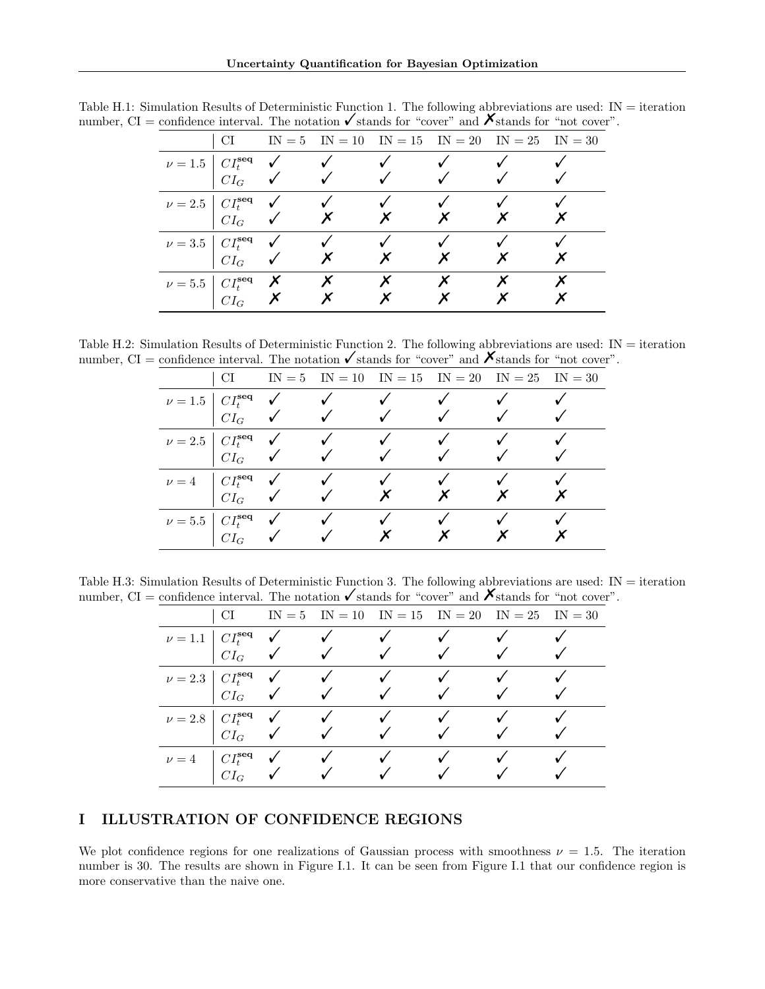|                                                                                                                              | CI |  |  | $IN = 5$ $IN = 10$ $IN = 15$ $IN = 20$ $IN = 25$ $IN = 30$ |  |
|------------------------------------------------------------------------------------------------------------------------------|----|--|--|------------------------------------------------------------|--|
| $\nu = 1.5$ $\begin{array}{ccc} CI_t^{\text{seq}} & \checkmark & \checkmark \\ CI_G & \checkmark & \checkmark \end{array}$   |    |  |  |                                                            |  |
|                                                                                                                              |    |  |  |                                                            |  |
|                                                                                                                              |    |  |  |                                                            |  |
| $\nu = 2.5$ $\begin{array}{ccc} C I_t^{\text{seq}} & \checkmark & \checkmark \\ C I_G & \checkmark & \checkmark \end{array}$ |    |  |  |                                                            |  |
|                                                                                                                              |    |  |  |                                                            |  |
| $\nu = 3.5$ $\begin{array}{ccc} C I_t^{\text{seq}} & \swarrow & \swarrow \\ C I_G & \swarrow & \nearrow \end{array}$         |    |  |  |                                                            |  |
|                                                                                                                              |    |  |  |                                                            |  |
| $\nu = 5.5$ $CI_C^{\text{seq}}$ $X$ $X$                                                                                      |    |  |  |                                                            |  |

Table H.1: Simulation Results of Deterministic Function 1. The following abbreviations are used: IN = iteration number, CI = confidence interval. The notation  $\checkmark$  stands for "cover" and  $\checkmark$  stands for "not cover".

Table H.2: Simulation Results of Deterministic Function 2. The following abbreviations are used: IN = iteration number,  $CI =$  confidence interval. The notation  $\checkmark$  stands for "cover" and  $\checkmark$  stands for "not cover".

| CI.                                                                                                         |                                                                                                                                                                                                                                                                                                                                                                                |              | $IN = 5$ $IN = 10$ $IN = 15$ $IN = 20$ $IN = 25$ $IN = 30$ |  |
|-------------------------------------------------------------------------------------------------------------|--------------------------------------------------------------------------------------------------------------------------------------------------------------------------------------------------------------------------------------------------------------------------------------------------------------------------------------------------------------------------------|--------------|------------------------------------------------------------|--|
|                                                                                                             |                                                                                                                                                                                                                                                                                                                                                                                |              |                                                            |  |
|                                                                                                             | $\nu = 1.5$ $CItseq$ $\checkmark$ $\checkmark$                                                                                                                                                                                                                                                                                                                                 |              |                                                            |  |
|                                                                                                             |                                                                                                                                                                                                                                                                                                                                                                                |              |                                                            |  |
|                                                                                                             | $\nu = 2.5 \begin{vmatrix} CI_{t}^{\text{seq}} & \sqrt{C}I_{G}^{\text{seq}} & \sqrt{C}I_{G} & \sqrt{C}I_{G} & \sqrt{C}I_{G} & \sqrt{C}I_{G} & \sqrt{C}I_{G} & \sqrt{C}I_{G} & \sqrt{C}I_{G} & \sqrt{C}I_{G} & \sqrt{C}I_{G} & \sqrt{C}I_{G} & \sqrt{C}I_{G} & \sqrt{C}I_{G} & \sqrt{C}I_{G} & \sqrt{C}I_{G} & \sqrt{C}I_{G} & \sqrt{C}I_{G} & \sqrt{C}I_{G} & \sqrt{C}I_{G} &$ |              |                                                            |  |
|                                                                                                             |                                                                                                                                                                                                                                                                                                                                                                                | $\checkmark$ |                                                            |  |
| $\nu = 4 \quad \begin{array}{ccc} C I_t^{\text{seq}} & \checkmark \\ & & \\ C I_G & \checkmark \end{array}$ |                                                                                                                                                                                                                                                                                                                                                                                |              |                                                            |  |
|                                                                                                             |                                                                                                                                                                                                                                                                                                                                                                                |              |                                                            |  |
|                                                                                                             | $\nu = 5.5$ $CI_C^{\text{seq}}$ $\checkmark$ $\checkmark$                                                                                                                                                                                                                                                                                                                      |              |                                                            |  |
|                                                                                                             |                                                                                                                                                                                                                                                                                                                                                                                |              |                                                            |  |

Table H.3: Simulation Results of Deterministic Function 3. The following abbreviations are used: IN = iteration number, CI = confidence interval. The notation  $\checkmark$  stands for "cover" and  $\checkmark$  stands for "not cover".

|         | CI.                                          |                                  |              |  | $IN = 5$ $IN = 10$ $IN = 15$ $IN = 20$ $IN = 25$ $IN = 30$ |  |
|---------|----------------------------------------------|----------------------------------|--------------|--|------------------------------------------------------------|--|
|         | $\nu = 1.1$ $CI_t^{\text{seq}}$ $\checkmark$ |                                  |              |  |                                                            |  |
|         |                                              | $CI_G$ $\checkmark$ $\checkmark$ |              |  |                                                            |  |
|         | $\nu = 2.3$ $CI^{seq}_{t}$ $\checkmark$      |                                  | $\checkmark$ |  |                                                            |  |
|         |                                              | $CI_G$ $\checkmark$              |              |  |                                                            |  |
|         | $\nu = 2.8$ $CI_t^{\text{seq}}$ $\checkmark$ |                                  |              |  |                                                            |  |
|         |                                              | $C I_G$ $\checkmark$             |              |  |                                                            |  |
| $\nu=4$ | $\vdash CI_{t}^{\textbf{seq}}$               |                                  |              |  |                                                            |  |
|         | $CI_G$                                       |                                  |              |  |                                                            |  |

# I ILLUSTRATION OF CONFIDENCE REGIONS

We plot confidence regions for one realizations of Gaussian process with smoothness  $\nu = 1.5$ . The iteration number is 30. The results are shown in Figure I.1. It can be seen from Figure I.1 that our confidence region is more conservative than the naive one.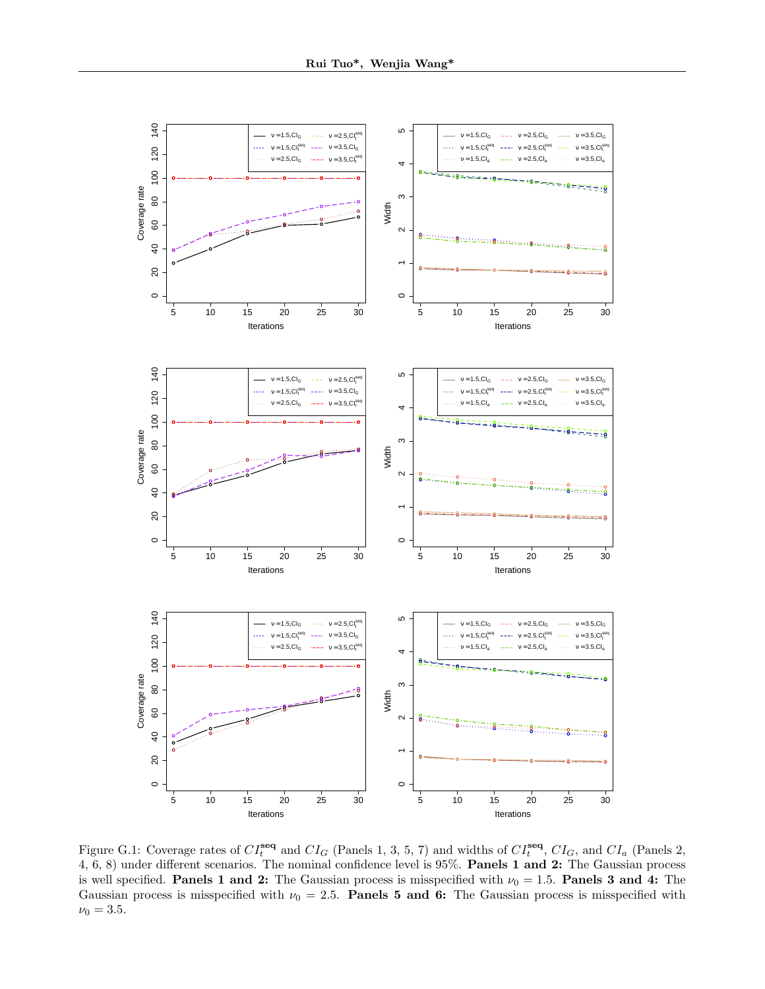

Figure G.1: Coverage rates of  $CI_t^{\text{seq}}$  and  $CI_G$  (Panels 1, 3, 5, 7) and widths of  $CI_t^{\text{seq}}, CI_G$ , and  $CI_a$  (Panels 2, 4, 6, 8) under different scenarios. The nominal confidence level is 95%. Panels 1 and 2: The Gaussian process is well specified. Panels 1 and 2: The Gaussian process is misspecified with  $\nu_0 = 1.5$ . Panels 3 and 4: The Gaussian process is misspecified with  $\nu_0 = 2.5$ . Panels 5 and 6: The Gaussian process is misspecified with  $\nu_0 = 3.5$ .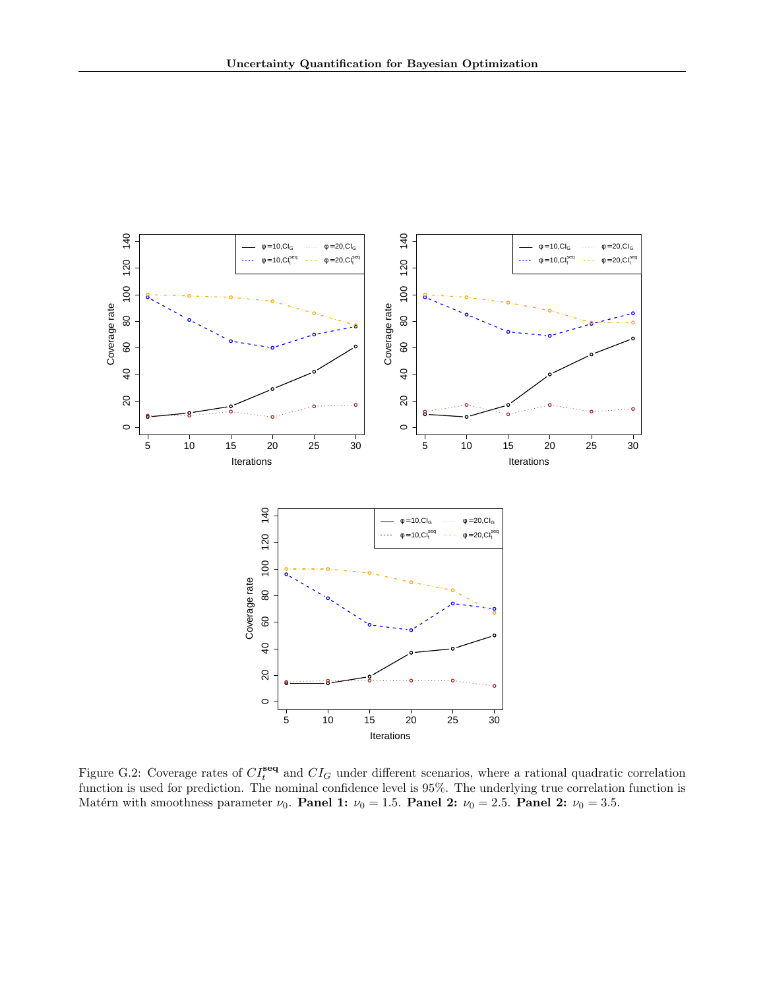

Figure G.2: Coverage rates of  $CI_t^{\text{seq}}$  and  $CI_G$  under different scenarios, where a rational quadratic correlation function is used for prediction. The nominal confidence level is 95%. The underlying true correlation function is Matérn with smoothness parameter  $\nu_0$ . Panel 1:  $\nu_0 = 1.5$ . Panel 2:  $\nu_0 = 2.5$ . Panel 2:  $\nu_0 = 3.5$ .